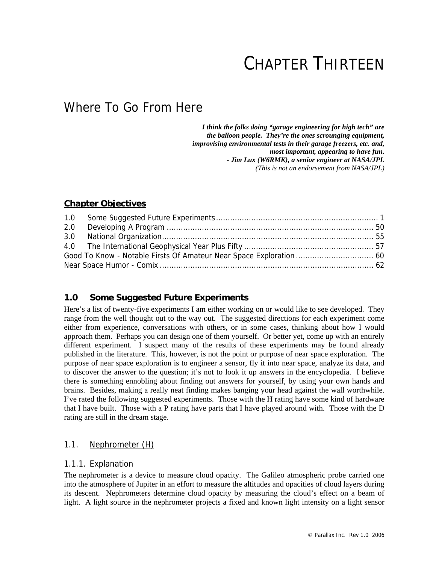# CHAPTER THIRTEEN

## Where To Go From Here

 *I think the folks doing "garage engineering for high tech" are the balloon people. They're the ones scrounging equipment, improvising environmental tests in their garage freezers, etc. and, most important, appearing to have fun. - Jim Lux (W6RMK), a senior engineer at NASA/JPL (This is not an endorsement from NASA/JPL)* 

### **Chapter Objectives**

| 2.0 |  |
|-----|--|
|     |  |
|     |  |
|     |  |
|     |  |

### **1.0 Some Suggested Future Experiments**

Here's a list of twenty-five experiments I am either working on or would like to see developed. They range from the well thought out to the way out. The suggested directions for each experiment come either from experience, conversations with others, or in some cases, thinking about how I would approach them. Perhaps you can design one of them yourself. Or better yet, come up with an entirely different experiment. I suspect many of the results of these experiments may be found already published in the literature. This, however, is not the point or purpose of near space exploration. The purpose of near space exploration is to engineer a sensor, fly it into near space, analyze its data, and to discover the answer to the question; it's not to look it up answers in the encyclopedia. I believe there is something ennobling about finding out answers for yourself, by using your own hands and brains. Besides, making a really neat finding makes banging your head against the wall worthwhile. I've rated the following suggested experiments. Those with the H rating have some kind of hardware that I have built. Those with a P rating have parts that I have played around with. Those with the D rating are still in the dream stage.

### 1.1. Nephrometer (H)

### 1.1.1. Explanation

The nephrometer is a device to measure cloud opacity. The Galileo atmospheric probe carried one into the atmosphere of Jupiter in an effort to measure the altitudes and opacities of cloud layers during its descent. Nephrometers determine cloud opacity by measuring the cloud's effect on a beam of light. A light source in the nephrometer projects a fixed and known light intensity on a light sensor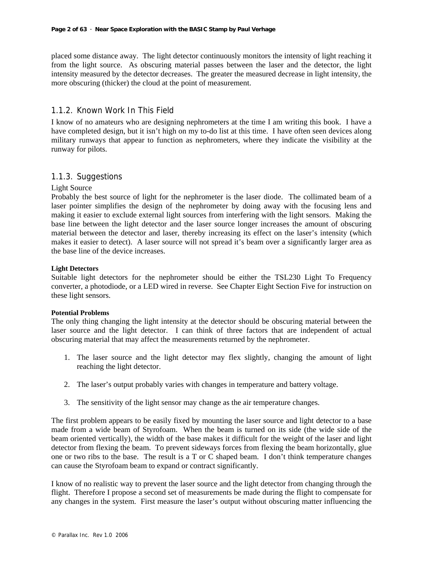placed some distance away. The light detector continuously monitors the intensity of light reaching it from the light source. As obscuring material passes between the laser and the detector, the light intensity measured by the detector decreases. The greater the measured decrease in light intensity, the more obscuring (thicker) the cloud at the point of measurement.

### 1.1.2. Known Work In This Field

I know of no amateurs who are designing nephrometers at the time I am writing this book. I have a have completed design, but it isn't high on my to-do list at this time. I have often seen devices along military runways that appear to function as nephrometers, where they indicate the visibility at the runway for pilots.

### 1.1.3. Suggestions

### Light Source

Probably the best source of light for the nephrometer is the laser diode. The collimated beam of a laser pointer simplifies the design of the nephrometer by doing away with the focusing lens and making it easier to exclude external light sources from interfering with the light sensors. Making the base line between the light detector and the laser source longer increases the amount of obscuring material between the detector and laser, thereby increasing its effect on the laser's intensity (which makes it easier to detect). A laser source will not spread it's beam over a significantly larger area as the base line of the device increases.

#### **Light Detectors**

Suitable light detectors for the nephrometer should be either the TSL230 Light To Frequency converter, a photodiode, or a LED wired in reverse. See Chapter Eight Section Five for instruction on these light sensors.

#### **Potential Problems**

The only thing changing the light intensity at the detector should be obscuring material between the laser source and the light detector. I can think of three factors that are independent of actual obscuring material that may affect the measurements returned by the nephrometer.

- 1. The laser source and the light detector may flex slightly, changing the amount of light reaching the light detector.
- 2. The laser's output probably varies with changes in temperature and battery voltage.
- 3. The sensitivity of the light sensor may change as the air temperature changes.

The first problem appears to be easily fixed by mounting the laser source and light detector to a base made from a wide beam of Styrofoam. When the beam is turned on its side (the wide side of the beam oriented vertically), the width of the base makes it difficult for the weight of the laser and light detector from flexing the beam. To prevent sideways forces from flexing the beam horizontally, glue one or two ribs to the base. The result is a T or C shaped beam. I don't think temperature changes can cause the Styrofoam beam to expand or contract significantly.

I know of no realistic way to prevent the laser source and the light detector from changing through the flight. Therefore I propose a second set of measurements be made during the flight to compensate for any changes in the system. First measure the laser's output without obscuring matter influencing the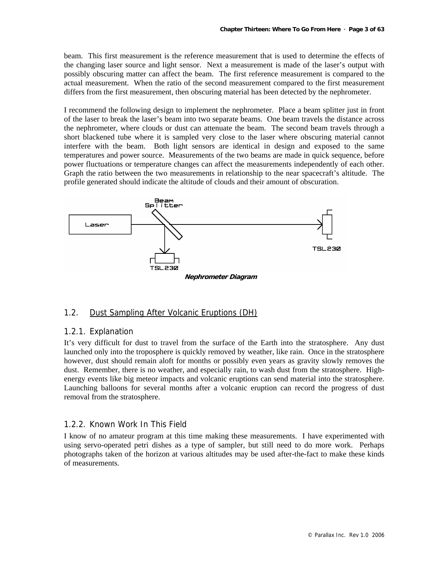beam. This first measurement is the reference measurement that is used to determine the effects of the changing laser source and light sensor. Next a measurement is made of the laser's output with possibly obscuring matter can affect the beam. The first reference measurement is compared to the actual measurement. When the ratio of the second measurement compared to the first measurement differs from the first measurement, then obscuring material has been detected by the nephrometer.

I recommend the following design to implement the nephrometer. Place a beam splitter just in front of the laser to break the laser's beam into two separate beams. One beam travels the distance across the nephrometer, where clouds or dust can attenuate the beam. The second beam travels through a short blackened tube where it is sampled very close to the laser where obscuring material cannot interfere with the beam. Both light sensors are identical in design and exposed to the same temperatures and power source. Measurements of the two beams are made in quick sequence, before power fluctuations or temperature changes can affect the measurements independently of each other. Graph the ratio between the two measurements in relationship to the near spacecraft's altitude. The profile generated should indicate the altitude of clouds and their amount of obscuration.



### 1.2. Dust Sampling After Volcanic Eruptions (DH)

### 1.2.1. Explanation

It's very difficult for dust to travel from the surface of the Earth into the stratosphere. Any dust launched only into the troposphere is quickly removed by weather, like rain. Once in the stratosphere however, dust should remain aloft for months or possibly even years as gravity slowly removes the dust. Remember, there is no weather, and especially rain, to wash dust from the stratosphere. Highenergy events like big meteor impacts and volcanic eruptions can send material into the stratosphere. Launching balloons for several months after a volcanic eruption can record the progress of dust removal from the stratosphere.

### 1.2.2. Known Work In This Field

I know of no amateur program at this time making these measurements. I have experimented with using servo-operated petri dishes as a type of sampler, but still need to do more work. Perhaps photographs taken of the horizon at various altitudes may be used after-the-fact to make these kinds of measurements.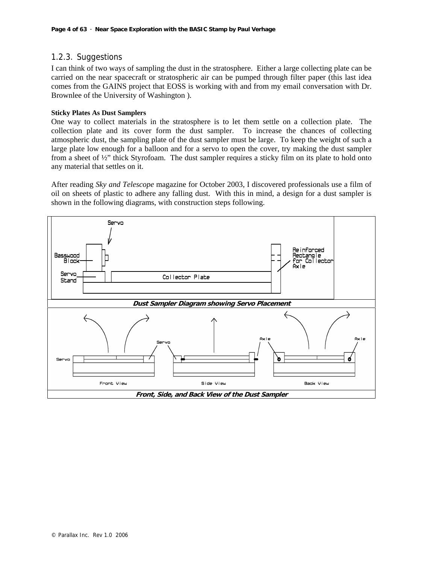### 1.2.3. Suggestions

I can think of two ways of sampling the dust in the stratosphere. Either a large collecting plate can be carried on the near spacecraft or stratospheric air can be pumped through filter paper (this last idea comes from the GAINS project that EOSS is working with and from my email conversation with Dr. Brownlee of the University of Washington ).

#### **Sticky Plates As Dust Samplers**

One way to collect materials in the stratosphere is to let them settle on a collection plate. The collection plate and its cover form the dust sampler. To increase the chances of collecting atmospheric dust, the sampling plate of the dust sampler must be large. To keep the weight of such a large plate low enough for a balloon and for a servo to open the cover, try making the dust sampler from a sheet of ½" thick Styrofoam. The dust sampler requires a sticky film on its plate to hold onto any material that settles on it.

After reading *Sky and Telescope* magazine for October 2003, I discovered professionals use a film of oil on sheets of plastic to adhere any falling dust. With this in mind, a design for a dust sampler is shown in the following diagrams, with construction steps following.

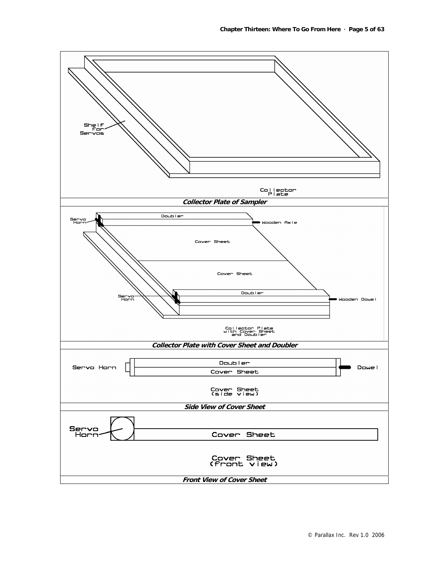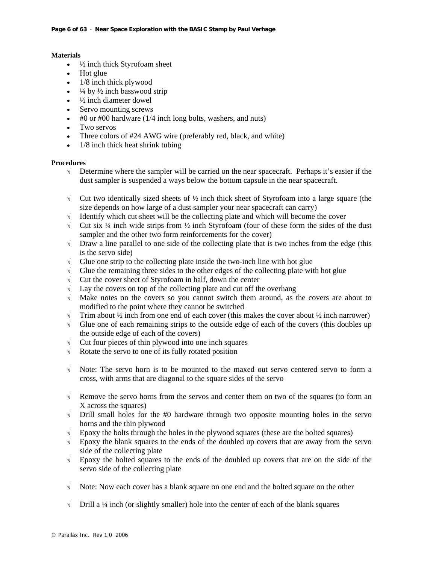#### **Materials**

- $\bullet$   $\frac{1}{2}$  inch thick Styrofoam sheet
- Hot glue
- $\bullet$  1/8 inch thick plywood
- $\frac{1}{4}$  by  $\frac{1}{2}$  inch basswood strip
- $\frac{1}{2}$  inch diameter dowel
- Servo mounting screws
- #0 or #00 hardware (1/4 inch long bolts, washers, and nuts)
- Two servos
- Three colors of #24 AWG wire (preferably red, black, and white)
- 1/8 inch thick heat shrink tubing

#### **Procedures**

- √ Determine where the sampler will be carried on the near spacecraft. Perhaps it's easier if the dust sampler is suspended a ways below the bottom capsule in the near spacecraft.
- $\sqrt{\phantom{a}}$  Cut two identically sized sheets of  $\frac{1}{2}$  inch thick sheet of Styrofoam into a large square (the size depends on how large of a dust sampler your near spacecraft can carry)
- √ Identify which cut sheet will be the collecting plate and which will become the cover
- $\sqrt{\phantom{a}}$  Cut six ¼ inch wide strips from ½ inch Styrofoam (four of these form the sides of the dust sampler and the other two form reinforcements for the cover)
- $\sqrt{\phantom{a}}$  Draw a line parallel to one side of the collecting plate that is two inches from the edge (this is the servo side)
- $\sqrt{\phantom{a}}$  Glue one strip to the collecting plate inside the two-inch line with hot glue
- $\sqrt{\phantom{a}}$  Glue the remaining three sides to the other edges of the collecting plate with hot glue
- √ Cut the cover sheet of Styrofoam in half, down the center
- $\sqrt{\phantom{a}}$  Lay the covers on top of the collecting plate and cut off the overhang
- √ Make notes on the covers so you cannot switch them around, as the covers are about to modified to the point where they cannot be switched
- $\sqrt{\phantom{a}}$  Trim about ½ inch from one end of each cover (this makes the cover about ½ inch narrower)
- $\sqrt{\phantom{a}}$  Glue one of each remaining strips to the outside edge of each of the covers (this doubles up the outside edge of each of the covers)
- √ Cut four pieces of thin plywood into one inch squares
- √ Rotate the servo to one of its fully rotated position
- √ Note: The servo horn is to be mounted to the maxed out servo centered servo to form a cross, with arms that are diagonal to the square sides of the servo
- √ Remove the servo horns from the servos and center them on two of the squares (to form an X across the squares)
- √ Drill small holes for the #0 hardware through two opposite mounting holes in the servo horns and the thin plywood
- $\sqrt{\phantom{a}}$  Epoxy the bolts through the holes in the plywood squares (these are the bolted squares)
- √ Epoxy the blank squares to the ends of the doubled up covers that are away from the servo side of the collecting plate
- $\sqrt{\phantom{a}}$  Epoxy the bolted squares to the ends of the doubled up covers that are on the side of the servo side of the collecting plate
- √ Note: Now each cover has a blank square on one end and the bolted square on the other
- √ Drill a ¼ inch (or slightly smaller) hole into the center of each of the blank squares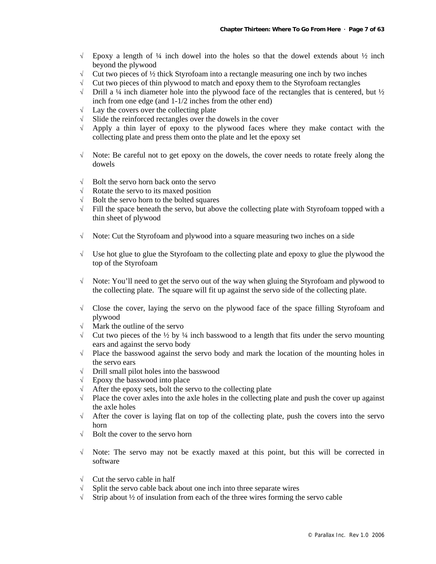- $\sqrt{\phantom{a}}$  Epoxy a length of ¼ inch dowel into the holes so that the dowel extends about  $\frac{1}{2}$  inch beyond the plywood
- $\sqrt{\phantom{a}}$  Cut two pieces of ½ thick Styrofoam into a rectangle measuring one inch by two inches  $\sqrt{\phantom{a}}$  Cut two pieces of thin plywood to match and epoxy them to the Styrofoam rectangles
- √ Cut two pieces of thin plywood to match and epoxy them to the Styrofoam rectangles
- $\sqrt{\phantom{a}}$  Drill a ¼ inch diameter hole into the plywood face of the rectangles that is centered, but  $\frac{1}{2}$ inch from one edge (and 1-1/2 inches from the other end)
- $\sqrt{\phantom{a}}$  Lay the covers over the collecting plate
- √ Slide the reinforced rectangles over the dowels in the cover
- √ Apply a thin layer of epoxy to the plywood faces where they make contact with the collecting plate and press them onto the plate and let the epoxy set
- $\sqrt{\phantom{a}}$  Note: Be careful not to get epoxy on the dowels, the cover needs to rotate freely along the dowels
- $\sqrt{\phantom{a}}$  Bolt the servo horn back onto the servo
- √ Rotate the servo to its maxed position
- √ Bolt the servo horn to the bolted squares
- $\sqrt{\phantom{a}}$  Fill the space beneath the servo, but above the collecting plate with Styrofoam topped with a thin sheet of plywood
- √ Note: Cut the Styrofoam and plywood into a square measuring two inches on a side
- √ Use hot glue to glue the Styrofoam to the collecting plate and epoxy to glue the plywood the top of the Styrofoam
- √ Note: You'll need to get the servo out of the way when gluing the Styrofoam and plywood to the collecting plate. The square will fit up against the servo side of the collecting plate.
- √ Close the cover, laying the servo on the plywood face of the space filling Styrofoam and plywood
- √ Mark the outline of the servo
- $\sqrt{\phantom{a}}$  Cut two pieces of the  $\frac{1}{2}$  by  $\frac{1}{4}$  inch basswood to a length that fits under the servo mounting ears and against the servo body
- √ Place the basswood against the servo body and mark the location of the mounting holes in the servo ears
- √ Drill small pilot holes into the basswood
- √ Epoxy the basswood into place
- After the epoxy sets, bolt the servo to the collecting plate
- $\sqrt{\phantom{a}}$  Place the cover axles into the axle holes in the collecting plate and push the cover up against the axle holes
- $\sqrt{\phantom{a}}$  After the cover is laying flat on top of the collecting plate, push the covers into the servo horn
- √ Bolt the cover to the servo horn
- √ Note: The servo may not be exactly maxed at this point, but this will be corrected in software
- $\sqrt{\phantom{a}}$  Cut the servo cable in half
- $\sqrt{\phantom{a}}$  Split the servo cable back about one inch into three separate wires
- √ Strip about ½ of insulation from each of the three wires forming the servo cable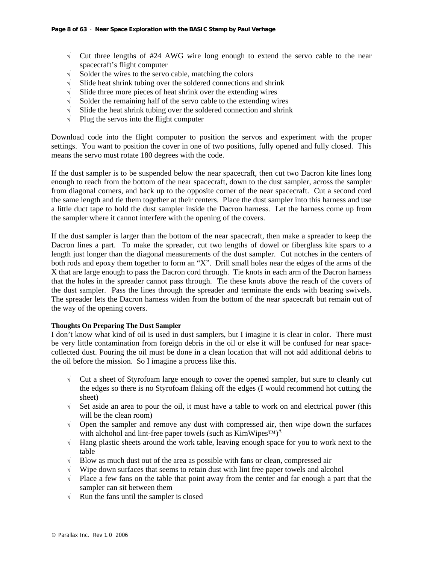- √ Cut three lengths of #24 AWG wire long enough to extend the servo cable to the near spacecraft's flight computer
- $\sqrt{\phantom{a}}$  Solder the wires to the servo cable, matching the colors  $\sqrt{\phantom{a}}$  Slide heat shrink tubing over the soldered connections a
- Slide heat shrink tubing over the soldered connections and shrink
- $\sqrt{\phantom{a}}$  Slide three more pieces of heat shrink over the extending wires
- $\sqrt{\phantom{a}}$  Solder the remaining half of the servo cable to the extending wires
- √ Slide the heat shrink tubing over the soldered connection and shrink
- √ Plug the servos into the flight computer

Download code into the flight computer to position the servos and experiment with the proper settings. You want to position the cover in one of two positions, fully opened and fully closed. This means the servo must rotate 180 degrees with the code.

If the dust sampler is to be suspended below the near spacecraft, then cut two Dacron kite lines long enough to reach from the bottom of the near spacecraft, down to the dust sampler, across the sampler from diagonal corners, and back up to the opposite corner of the near spacecraft. Cut a second cord the same length and tie them together at their centers. Place the dust sampler into this harness and use a little duct tape to hold the dust sampler inside the Dacron harness. Let the harness come up from the sampler where it cannot interfere with the opening of the covers.

If the dust sampler is larger than the bottom of the near spacecraft, then make a spreader to keep the Dacron lines a part. To make the spreader, cut two lengths of dowel or fiberglass kite spars to a length just longer than the diagonal measurements of the dust sampler. Cut notches in the centers of both rods and epoxy them together to form an "X". Drill small holes near the edges of the arms of the X that are large enough to pass the Dacron cord through. Tie knots in each arm of the Dacron harness that the holes in the spreader cannot pass through. Tie these knots above the reach of the covers of the dust sampler. Pass the lines through the spreader and terminate the ends with bearing swivels. The spreader lets the Dacron harness widen from the bottom of the near spacecraft but remain out of the way of the opening covers.

#### **Thoughts On Preparing The Dust Sampler**

I don't know what kind of oil is used in dust samplers, but I imagine it is clear in color. There must be very little contamination from foreign debris in the oil or else it will be confused for near spacecollected dust. Pouring the oil must be done in a clean location that will not add additional debris to the oil before the mission. So I imagine a process like this.

- √ Cut a sheet of Styrofoam large enough to cover the opened sampler, but sure to cleanly cut the edges so there is no Styrofoam flaking off the edges (I would recommend hot cutting the sheet)
- $\sqrt{\phantom{a}}$  Set aside an area to pour the oil, it must have a table to work on and electrical power (this will be the clean room)
- √ Open the sampler and remove any dust with compressed air, then wipe down the surfaces with alchohol and lint-free paper towels (such as  $KimWipes^{TM}$ <sup>A</sup>
- √ Hang plastic sheets around the work table, leaving enough space for you to work next to the table
- $\sqrt{\phantom{a}}$  Blow as much dust out of the area as possible with fans or clean, compressed air
- $\sqrt{\phantom{a}}$  Wipe down surfaces that seems to retain dust with lint free paper towels and alcohol
- √ Place a few fans on the table that point away from the center and far enough a part that the sampler can sit between them
- $\sqrt{\phantom{a}}$  Run the fans until the sampler is closed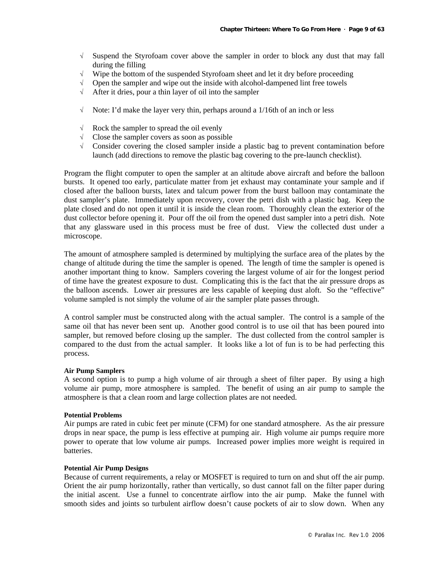- √ Suspend the Styrofoam cover above the sampler in order to block any dust that may fall during the filling
- $\sqrt{\phantom{a}}$  Wipe the bottom of the suspended Styrofoam sheet and let it dry before proceeding
- $\sqrt{\phantom{a}}$  Open the sampler and wipe out the inside with alcohol-dampened lint free towels
- √ After it dries, pour a thin layer of oil into the sampler
- $\sqrt{\phantom{a}}$  Note: I'd make the layer very thin, perhaps around a 1/16th of an inch or less
- √ Rock the sampler to spread the oil evenly
- √ Close the sampler covers as soon as possible
- √ Consider covering the closed sampler inside a plastic bag to prevent contamination before launch (add directions to remove the plastic bag covering to the pre-launch checklist).

Program the flight computer to open the sampler at an altitude above aircraft and before the balloon bursts. It opened too early, particulate matter from jet exhaust may contaminate your sample and if closed after the balloon bursts, latex and talcum power from the burst balloon may contaminate the dust sampler's plate. Immediately upon recovery, cover the petri dish with a plastic bag. Keep the plate closed and do not open it until it is inside the clean room. Thoroughly clean the exterior of the dust collector before opening it. Pour off the oil from the opened dust sampler into a petri dish. Note that any glassware used in this process must be free of dust. View the collected dust under a microscope.

The amount of atmosphere sampled is determined by multiplying the surface area of the plates by the change of altitude during the time the sampler is opened. The length of time the sampler is opened is another important thing to know. Samplers covering the largest volume of air for the longest period of time have the greatest exposure to dust. Complicating this is the fact that the air pressure drops as the balloon ascends. Lower air pressures are less capable of keeping dust aloft. So the "effective" volume sampled is not simply the volume of air the sampler plate passes through.

A control sampler must be constructed along with the actual sampler. The control is a sample of the same oil that has never been sent up. Another good control is to use oil that has been poured into sampler, but removed before closing up the sampler. The dust collected from the control sampler is compared to the dust from the actual sampler. It looks like a lot of fun is to be had perfecting this process.

#### **Air Pump Samplers**

A second option is to pump a high volume of air through a sheet of filter paper. By using a high volume air pump, more atmosphere is sampled. The benefit of using an air pump to sample the atmosphere is that a clean room and large collection plates are not needed.

#### **Potential Problems**

Air pumps are rated in cubic feet per minute (CFM) for one standard atmosphere. As the air pressure drops in near space, the pump is less effective at pumping air. High volume air pumps require more power to operate that low volume air pumps. Increased power implies more weight is required in batteries.

#### **Potential Air Pump Designs**

Because of current requirements, a relay or MOSFET is required to turn on and shut off the air pump. Orient the air pump horizontally, rather than vertically, so dust cannot fall on the filter paper during the initial ascent. Use a funnel to concentrate airflow into the air pump. Make the funnel with smooth sides and joints so turbulent airflow doesn't cause pockets of air to slow down. When any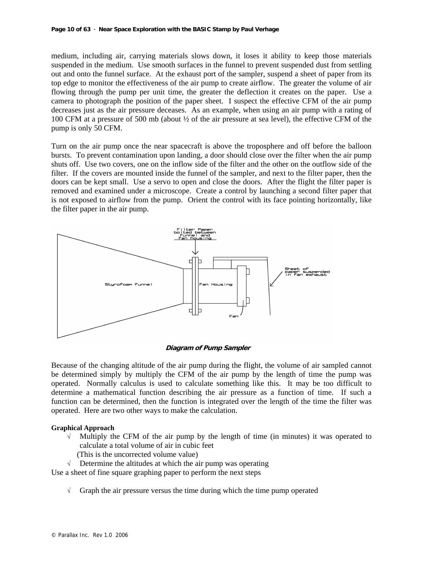medium, including air, carrying materials slows down, it loses it ability to keep those materials suspended in the medium. Use smooth surfaces in the funnel to prevent suspended dust from settling out and onto the funnel surface. At the exhaust port of the sampler, suspend a sheet of paper from its top edge to monitor the effectiveness of the air pump to create airflow. The greater the volume of air flowing through the pump per unit time, the greater the deflection it creates on the paper. Use a camera to photograph the position of the paper sheet. I suspect the effective CFM of the air pump decreases just as the air pressure deceases. As an example, when using an air pump with a rating of 100 CFM at a pressure of 500 mb (about ½ of the air pressure at sea level), the effective CFM of the pump is only 50 CFM.

Turn on the air pump once the near spacecraft is above the troposphere and off before the balloon bursts. To prevent contamination upon landing, a door should close over the filter when the air pump shuts off. Use two covers, one on the inflow side of the filter and the other on the outflow side of the filter. If the covers are mounted inside the funnel of the sampler, and next to the filter paper, then the doors can be kept small. Use a servo to open and close the doors. After the flight the filter paper is removed and examined under a microscope. Create a control by launching a second filter paper that is not exposed to airflow from the pump. Orient the control with its face pointing horizontally, like the filter paper in the air pump.



**Diagram of Pump Sampler**

Because of the changing altitude of the air pump during the flight, the volume of air sampled cannot be determined simply by multiply the CFM of the air pump by the length of time the pump was operated. Normally calculus is used to calculate something like this. It may be too difficult to determine a mathematical function describing the air pressure as a function of time. If such a function can be determined, then the function is integrated over the length of the time the filter was operated. Here are two other ways to make the calculation.

#### **Graphical Approach**

- $\sqrt{\ }$  Multiply the CFM of the air pump by the length of time (in minutes) it was operated to calculate a total volume of air in cubic feet
	- (This is the uncorrected volume value)
- $\sqrt{\phantom{a}}$  Determine the altitudes at which the air pump was operating

Use a sheet of fine square graphing paper to perform the next steps

 $\sqrt{\phantom{a}}$  Graph the air pressure versus the time during which the time pump operated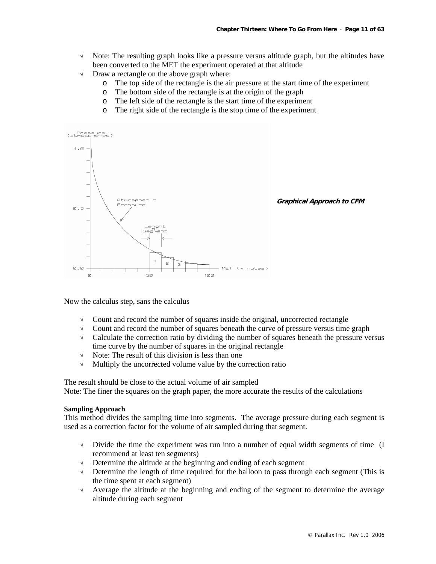- √ Note: The resulting graph looks like a pressure versus altitude graph, but the altitudes have been converted to the MET the experiment operated at that altitude
- √ Draw a rectangle on the above graph where:
	- o The top side of the rectangle is the air pressure at the start time of the experiment
	- o The bottom side of the rectangle is at the origin of the graph
	- o The left side of the rectangle is the start time of the experiment
	- o The right side of the rectangle is the stop time of the experiment



Now the calculus step, sans the calculus

- √ Count and record the number of squares inside the original, uncorrected rectangle
- √ Count and record the number of squares beneath the curve of pressure versus time graph
- √ Calculate the correction ratio by dividing the number of squares beneath the pressure versus time curve by the number of squares in the original rectangle
- $\sqrt{\phantom{a}}$  Note: The result of this division is less than one
- √ Multiply the uncorrected volume value by the correction ratio

The result should be close to the actual volume of air sampled

Note: The finer the squares on the graph paper, the more accurate the results of the calculations

#### **Sampling Approach**

This method divides the sampling time into segments. The average pressure during each segment is used as a correction factor for the volume of air sampled during that segment.

- $\sqrt{\phantom{a}}$  Divide the time the experiment was run into a number of equal width segments of time (I) recommend at least ten segments)
- Determine the altitude at the beginning and ending of each segment
- $\sqrt{\phantom{a}}$  Determine the length of time required for the balloon to pass through each segment (This is the time spent at each segment)
- √ Average the altitude at the beginning and ending of the segment to determine the average altitude during each segment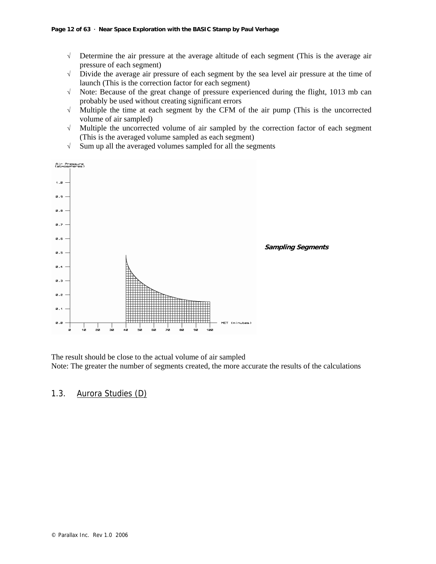- √ Determine the air pressure at the average altitude of each segment (This is the average air pressure of each segment)
- √ Divide the average air pressure of each segment by the sea level air pressure at the time of launch (This is the correction factor for each segment)
- √ Note: Because of the great change of pressure experienced during the flight, 1013 mb can probably be used without creating significant errors
- √ Multiple the time at each segment by the CFM of the air pump (This is the uncorrected volume of air sampled)
- √ Multiple the uncorrected volume of air sampled by the correction factor of each segment (This is the averaged volume sampled as each segment)
- Air Pressure<br>(atmospheres)  $1.2$ ø. 9 ø.e  $a.7$ ø.e **Sampling Segments**  0.5  $\alpha$ .4 0.3 ø.a  $\boldsymbol{\mathsf{Z}}$ .1 0.0 ا<br>10
- $\sqrt{\phantom{a}}$  Sum up all the averaged volumes sampled for all the segments

The result should be close to the actual volume of air sampled Note: The greater the number of segments created, the more accurate the results of the calculations

### 1.3. Aurora Studies (D)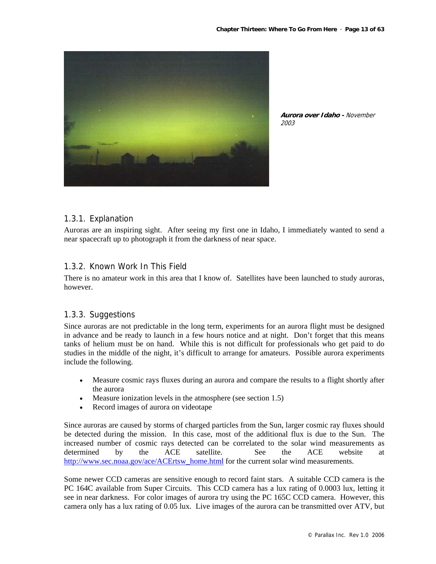

**Aurora over Idaho -** November 2003

### 1.3.1. Explanation

Auroras are an inspiring sight. After seeing my first one in Idaho, I immediately wanted to send a near spacecraft up to photograph it from the darkness of near space.

### 1.3.2. Known Work In This Field

There is no amateur work in this area that I know of. Satellites have been launched to study auroras, however.

### 1.3.3. Suggestions

Since auroras are not predictable in the long term, experiments for an aurora flight must be designed in advance and be ready to launch in a few hours notice and at night. Don't forget that this means tanks of helium must be on hand. While this is not difficult for professionals who get paid to do studies in the middle of the night, it's difficult to arrange for amateurs. Possible aurora experiments include the following.

- Measure cosmic rays fluxes during an aurora and compare the results to a flight shortly after the aurora
- Measure ionization levels in the atmosphere (see section 1.5)
- Record images of aurora on videotape

Since auroras are caused by storms of charged particles from the Sun, larger cosmic ray fluxes should be detected during the mission. In this case, most of the additional flux is due to the Sun. The increased number of cosmic rays detected can be correlated to the solar wind measurements as determined by the ACE satellite. See the ACE website at http://www.sec.noaa.gov/ace/ACErtsw\_home.html for the current solar wind measurements.

Some newer CCD cameras are sensitive enough to record faint stars. A suitable CCD camera is the PC 164C available from Super Circuits. This CCD camera has a lux rating of 0.0003 lux, letting it see in near darkness. For color images of aurora try using the PC 165C CCD camera. However, this camera only has a lux rating of 0.05 lux. Live images of the aurora can be transmitted over ATV, but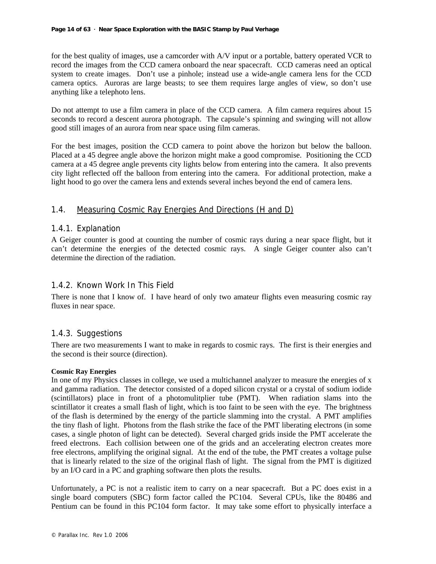for the best quality of images, use a camcorder with A/V input or a portable, battery operated VCR to record the images from the CCD camera onboard the near spacecraft. CCD cameras need an optical system to create images. Don't use a pinhole; instead use a wide-angle camera lens for the CCD camera optics. Auroras are large beasts; to see them requires large angles of view, so don't use anything like a telephoto lens.

Do not attempt to use a film camera in place of the CCD camera. A film camera requires about 15 seconds to record a descent aurora photograph. The capsule's spinning and swinging will not allow good still images of an aurora from near space using film cameras.

For the best images, position the CCD camera to point above the horizon but below the balloon. Placed at a 45 degree angle above the horizon might make a good compromise. Positioning the CCD camera at a 45 degree angle prevents city lights below from entering into the camera. It also prevents city light reflected off the balloon from entering into the camera. For additional protection, make a light hood to go over the camera lens and extends several inches beyond the end of camera lens.

### 1.4. Measuring Cosmic Ray Energies And Directions (H and D)

### 1.4.1. Explanation

A Geiger counter is good at counting the number of cosmic rays during a near space flight, but it can't determine the energies of the detected cosmic rays. A single Geiger counter also can't determine the direction of the radiation.

### 1.4.2. Known Work In This Field

There is none that I know of. I have heard of only two amateur flights even measuring cosmic ray fluxes in near space.

### 1.4.3. Suggestions

There are two measurements I want to make in regards to cosmic rays. The first is their energies and the second is their source (direction).

#### **Cosmic Ray Energies**

In one of my Physics classes in college, we used a multichannel analyzer to measure the energies of x and gamma radiation. The detector consisted of a doped silicon crystal or a crystal of sodium iodide (scintillators) place in front of a photomulitplier tube (PMT). When radiation slams into the scintillator it creates a small flash of light, which is too faint to be seen with the eye. The brightness of the flash is determined by the energy of the particle slamming into the crystal. A PMT amplifies the tiny flash of light. Photons from the flash strike the face of the PMT liberating electrons (in some cases, a single photon of light can be detected). Several charged grids inside the PMT accelerate the freed electrons. Each collision between one of the grids and an accelerating electron creates more free electrons, amplifying the original signal. At the end of the tube, the PMT creates a voltage pulse that is linearly related to the size of the original flash of light. The signal from the PMT is digitized by an I/O card in a PC and graphing software then plots the results.

Unfortunately, a PC is not a realistic item to carry on a near spacecraft. But a PC does exist in a single board computers (SBC) form factor called the PC104. Several CPUs, like the 80486 and Pentium can be found in this PC104 form factor. It may take some effort to physically interface a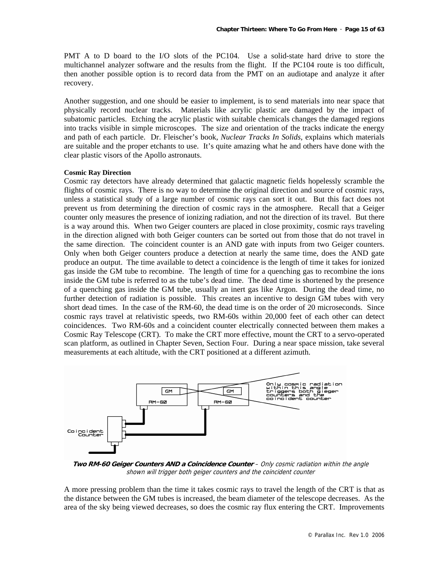PMT A to D board to the I/O slots of the PC104. Use a solid-state hard drive to store the multichannel analyzer software and the results from the flight. If the PC104 route is too difficult, then another possible option is to record data from the PMT on an audiotape and analyze it after recovery.

Another suggestion, and one should be easier to implement, is to send materials into near space that physically record nuclear tracks. Materials like acrylic plastic are damaged by the impact of subatomic particles. Etching the acrylic plastic with suitable chemicals changes the damaged regions into tracks visible in simple microscopes. The size and orientation of the tracks indicate the energy and path of each particle. Dr. Fleischer's book, *Nuclear Tracks In Solids*, explains which materials are suitable and the proper etchants to use. It's quite amazing what he and others have done with the clear plastic visors of the Apollo astronauts.

#### **Cosmic Ray Direction**

Cosmic ray detectors have already determined that galactic magnetic fields hopelessly scramble the flights of cosmic rays. There is no way to determine the original direction and source of cosmic rays, unless a statistical study of a large number of cosmic rays can sort it out. But this fact does not prevent us from determining the direction of cosmic rays in the atmosphere. Recall that a Geiger counter only measures the presence of ionizing radiation, and not the direction of its travel. But there is a way around this. When two Geiger counters are placed in close proximity, cosmic rays traveling in the direction aligned with both Geiger counters can be sorted out from those that do not travel in the same direction. The coincident counter is an AND gate with inputs from two Geiger counters. Only when both Geiger counters produce a detection at nearly the same time, does the AND gate produce an output. The time available to detect a coincidence is the length of time it takes for ionized gas inside the GM tube to recombine. The length of time for a quenching gas to recombine the ions inside the GM tube is referred to as the tube's dead time. The dead time is shortened by the presence of a quenching gas inside the GM tube, usually an inert gas like Argon. During the dead time, no further detection of radiation is possible. This creates an incentive to design GM tubes with very short dead times. In the case of the RM-60, the dead time is on the order of 20 microseconds. Since cosmic rays travel at relativistic speeds, two RM-60s within 20,000 feet of each other can detect coincidences. Two RM-60s and a coincident counter electrically connected between them makes a Cosmic Ray Telescope (CRT). To make the CRT more effective, mount the CRT to a servo-operated scan platform, as outlined in Chapter Seven, Section Four. During a near space mission, take several measurements at each altitude, with the CRT positioned at a different azimuth.



**Two RM-60 Geiger Counters AND a Coincidence Counter** – Only cosmic radiation within the angle shown will trigger both geiger counters and the coincident counter

A more pressing problem than the time it takes cosmic rays to travel the length of the CRT is that as the distance between the GM tubes is increased, the beam diameter of the telescope decreases. As the area of the sky being viewed decreases, so does the cosmic ray flux entering the CRT. Improvements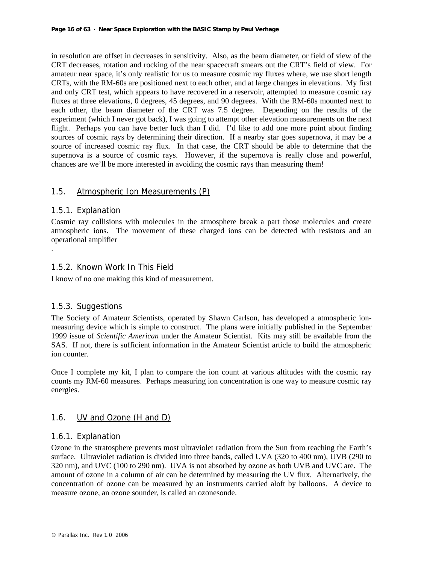in resolution are offset in decreases in sensitivity. Also, as the beam diameter, or field of view of the CRT decreases, rotation and rocking of the near spacecraft smears out the CRT's field of view. For amateur near space, it's only realistic for us to measure cosmic ray fluxes where, we use short length CRTs, with the RM-60s are positioned next to each other, and at large changes in elevations. My first and only CRT test, which appears to have recovered in a reservoir, attempted to measure cosmic ray fluxes at three elevations, 0 degrees, 45 degrees, and 90 degrees. With the RM-60s mounted next to each other, the beam diameter of the CRT was 7.5 degree. Depending on the results of the experiment (which I never got back), I was going to attempt other elevation measurements on the next flight. Perhaps you can have better luck than I did. I'd like to add one more point about finding sources of cosmic rays by determining their direction. If a nearby star goes supernova, it may be a source of increased cosmic ray flux. In that case, the CRT should be able to determine that the supernova is a source of cosmic rays. However, if the supernova is really close and powerful, chances are we'll be more interested in avoiding the cosmic rays than measuring them!

### 1.5. Atmospheric Ion Measurements (P)

### 1.5.1. Explanation

.

Cosmic ray collisions with molecules in the atmosphere break a part those molecules and create atmospheric ions. The movement of these charged ions can be detected with resistors and an operational amplifier

### 1.5.2. Known Work In This Field

I know of no one making this kind of measurement.

### 1.5.3. Suggestions

The Society of Amateur Scientists, operated by Shawn Carlson, has developed a atmospheric ionmeasuring device which is simple to construct. The plans were initially published in the September 1999 issue of *Scientific American* under the Amateur Scientist. Kits may still be available from the SAS. If not, there is sufficient information in the Amateur Scientist article to build the atmospheric ion counter.

Once I complete my kit, I plan to compare the ion count at various altitudes with the cosmic ray counts my RM-60 measures. Perhaps measuring ion concentration is one way to measure cosmic ray energies.

### 1.6. UV and Ozone (H and D)

### 1.6.1. Explanation

Ozone in the stratosphere prevents most ultraviolet radiation from the Sun from reaching the Earth's surface. Ultraviolet radiation is divided into three bands, called UVA (320 to 400 nm), UVB (290 to 320 nm), and UVC (100 to 290 nm). UVA is not absorbed by ozone as both UVB and UVC are. The amount of ozone in a column of air can be determined by measuring the UV flux. Alternatively, the concentration of ozone can be measured by an instruments carried aloft by balloons. A device to measure ozone, an ozone sounder, is called an ozonesonde.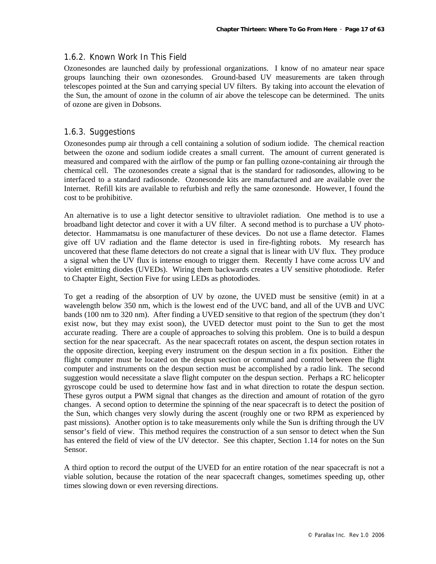### 1.6.2. Known Work In This Field

Ozonesondes are launched daily by professional organizations. I know of no amateur near space groups launching their own ozonesondes. Ground-based UV measurements are taken through telescopes pointed at the Sun and carrying special UV filters. By taking into account the elevation of the Sun, the amount of ozone in the column of air above the telescope can be determined. The units of ozone are given in Dobsons.

### 1.6.3. Suggestions

Ozonesondes pump air through a cell containing a solution of sodium iodide. The chemical reaction between the ozone and sodium iodide creates a small current. The amount of current generated is measured and compared with the airflow of the pump or fan pulling ozone-containing air through the chemical cell. The ozonesondes create a signal that is the standard for radiosondes, allowing to be interfaced to a standard radiosonde. Ozonesonde kits are manufactured and are available over the Internet. Refill kits are available to refurbish and refly the same ozonesonde. However, I found the cost to be prohibitive.

An alternative is to use a light detector sensitive to ultraviolet radiation. One method is to use a broadband light detector and cover it with a UV filter. A second method is to purchase a UV photodetector. Hammamatsu is one manufacturer of these devices. Do not use a flame detector. Flames give off UV radiation and the flame detector is used in fire-fighting robots. My research has uncovered that these flame detectors do not create a signal that is linear with UV flux. They produce a signal when the UV flux is intense enough to trigger them. Recently I have come across UV and violet emitting diodes (UVEDs). Wiring them backwards creates a UV sensitive photodiode. Refer to Chapter Eight, Section Five for using LEDs as photodiodes.

To get a reading of the absorption of UV by ozone, the UVED must be sensitive (emit) in at a wavelength below 350 nm, which is the lowest end of the UVC band, and all of the UVB and UVC bands (100 nm to 320 nm). After finding a UVED sensitive to that region of the spectrum (they don't exist now, but they may exist soon), the UVED detector must point to the Sun to get the most accurate reading. There are a couple of approaches to solving this problem. One is to build a despun section for the near spacecraft. As the near spacecraft rotates on ascent, the despun section rotates in the opposite direction, keeping every instrument on the despun section in a fix position. Either the flight computer must be located on the despun section or command and control between the flight computer and instruments on the despun section must be accomplished by a radio link. The second suggestion would necessitate a slave flight computer on the despun section. Perhaps a RC helicopter gyroscope could be used to determine how fast and in what direction to rotate the despun section. These gyros output a PWM signal that changes as the direction and amount of rotation of the gyro changes. A second option to determine the spinning of the near spacecraft is to detect the position of the Sun, which changes very slowly during the ascent (roughly one or two RPM as experienced by past missions). Another option is to take measurements only while the Sun is drifting through the UV sensor's field of view. This method requires the construction of a sun sensor to detect when the Sun has entered the field of view of the UV detector. See this chapter, Section 1.14 for notes on the Sun Sensor.

A third option to record the output of the UVED for an entire rotation of the near spacecraft is not a viable solution, because the rotation of the near spacecraft changes, sometimes speeding up, other times slowing down or even reversing directions.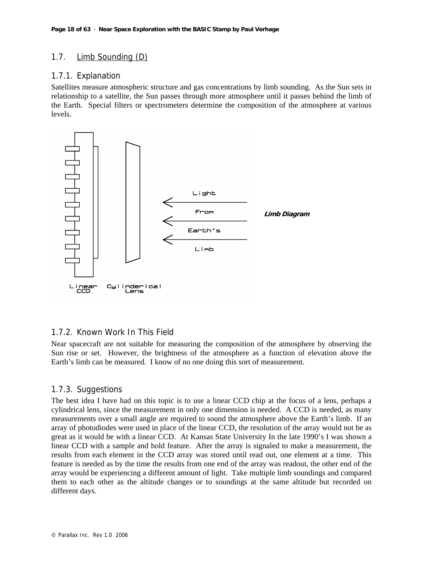### 1.7. Limb Sounding (D)

### 1.7.1. Explanation

Satellites measure atmospheric structure and gas concentrations by limb sounding. As the Sun sets in relationship to a satellite, the Sun passes through more atmosphere until it passes behind the limb of the Earth. Special filters or spectrometers determine the composition of the atmosphere at various levels.



### 1.7.2. Known Work In This Field

Near spacecraft are not suitable for measuring the composition of the atmosphere by observing the Sun rise or set. However, the brightness of the atmosphere as a function of elevation above the Earth's limb can be measured. I know of no one doing this sort of measurement.

### 1.7.3. Suggestions

The best idea I have had on this topic is to use a linear CCD chip at the focus of a lens, perhaps a cylindrical lens, since the measurement in only one dimension is needed. A CCD is needed, as many measurements over a small angle are required to sound the atmosphere above the Earth's limb. If an array of photodiodes were used in place of the linear CCD, the resolution of the array would not be as great as it would be with a linear CCD. At Kansas State University In the late 1990's I was shown a linear CCD with a sample and hold feature. After the array is signaled to make a measurement, the results from each element in the CCD array was stored until read out, one element at a time. This feature is needed as by the time the results from one end of the array was readout, the other end of the array would be experiencing a different amount of light. Take multiple limb soundings and compared them to each other as the altitude changes or to soundings at the same altitude but recorded on different days.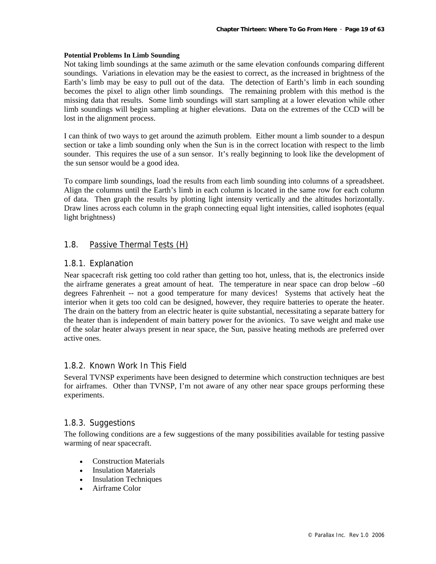#### **Potential Problems In Limb Sounding**

Not taking limb soundings at the same azimuth or the same elevation confounds comparing different soundings. Variations in elevation may be the easiest to correct, as the increased in brightness of the Earth's limb may be easy to pull out of the data. The detection of Earth's limb in each sounding becomes the pixel to align other limb soundings. The remaining problem with this method is the missing data that results. Some limb soundings will start sampling at a lower elevation while other limb soundings will begin sampling at higher elevations. Data on the extremes of the CCD will be lost in the alignment process.

I can think of two ways to get around the azimuth problem. Either mount a limb sounder to a despun section or take a limb sounding only when the Sun is in the correct location with respect to the limb sounder. This requires the use of a sun sensor. It's really beginning to look like the development of the sun sensor would be a good idea.

To compare limb soundings, load the results from each limb sounding into columns of a spreadsheet. Align the columns until the Earth's limb in each column is located in the same row for each column of data. Then graph the results by plotting light intensity vertically and the altitudes horizontally. Draw lines across each column in the graph connecting equal light intensities, called isophotes (equal light brightness)

### 1.8. Passive Thermal Tests (H)

### 1.8.1. Explanation

Near spacecraft risk getting too cold rather than getting too hot, unless, that is, the electronics inside the airframe generates a great amount of heat. The temperature in near space can drop below  $-60$ degrees Fahrenheit -- not a good temperature for many devices! Systems that actively heat the interior when it gets too cold can be designed, however, they require batteries to operate the heater. The drain on the battery from an electric heater is quite substantial, necessitating a separate battery for the heater than is independent of main battery power for the avionics. To save weight and make use of the solar heater always present in near space, the Sun, passive heating methods are preferred over active ones.

### 1.8.2. Known Work In This Field

Several TVNSP experiments have been designed to determine which construction techniques are best for airframes. Other than TVNSP, I'm not aware of any other near space groups performing these experiments.

### 1.8.3. Suggestions

The following conditions are a few suggestions of the many possibilities available for testing passive warming of near spacecraft.

- Construction Materials
- Insulation Materials
- Insulation Techniques
- Airframe Color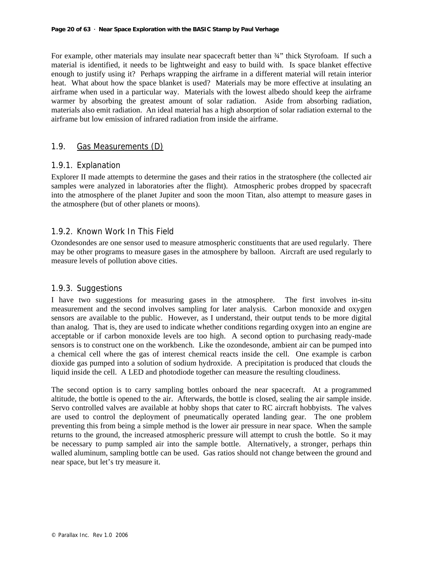For example, other materials may insulate near spacecraft better than  $\frac{3}{4}$  thick Styrofoam. If such a material is identified, it needs to be lightweight and easy to build with. Is space blanket effective enough to justify using it? Perhaps wrapping the airframe in a different material will retain interior heat. What about how the space blanket is used? Materials may be more effective at insulating an airframe when used in a particular way. Materials with the lowest albedo should keep the airframe warmer by absorbing the greatest amount of solar radiation. Aside from absorbing radiation, materials also emit radiation. An ideal material has a high absorption of solar radiation external to the airframe but low emission of infrared radiation from inside the airframe.

### 1.9. Gas Measurements (D)

### 1.9.1. Explanation

Explorer II made attempts to determine the gases and their ratios in the stratosphere (the collected air samples were analyzed in laboratories after the flight). Atmospheric probes dropped by spacecraft into the atmosphere of the planet Jupiter and soon the moon Titan, also attempt to measure gases in the atmosphere (but of other planets or moons).

### 1.9.2. Known Work In This Field

Ozondesondes are one sensor used to measure atmospheric constituents that are used regularly. There may be other programs to measure gases in the atmosphere by balloon. Aircraft are used regularly to measure levels of pollution above cities.

### 1.9.3. Suggestions

I have two suggestions for measuring gases in the atmosphere. The first involves in-situ measurement and the second involves sampling for later analysis. Carbon monoxide and oxygen sensors are available to the public. However, as I understand, their output tends to be more digital than analog. That is, they are used to indicate whether conditions regarding oxygen into an engine are acceptable or if carbon monoxide levels are too high. A second option to purchasing ready-made sensors is to construct one on the workbench. Like the ozondesonde, ambient air can be pumped into a chemical cell where the gas of interest chemical reacts inside the cell. One example is carbon dioxide gas pumped into a solution of sodium hydroxide. A precipitation is produced that clouds the liquid inside the cell. A LED and photodiode together can measure the resulting cloudiness.

The second option is to carry sampling bottles onboard the near spacecraft. At a programmed altitude, the bottle is opened to the air. Afterwards, the bottle is closed, sealing the air sample inside. Servo controlled valves are available at hobby shops that cater to RC aircraft hobbyists. The valves are used to control the deployment of pneumatically operated landing gear. The one problem preventing this from being a simple method is the lower air pressure in near space. When the sample returns to the ground, the increased atmospheric pressure will attempt to crush the bottle. So it may be necessary to pump sampled air into the sample bottle. Alternatively, a stronger, perhaps thin walled aluminum, sampling bottle can be used. Gas ratios should not change between the ground and near space, but let's try measure it.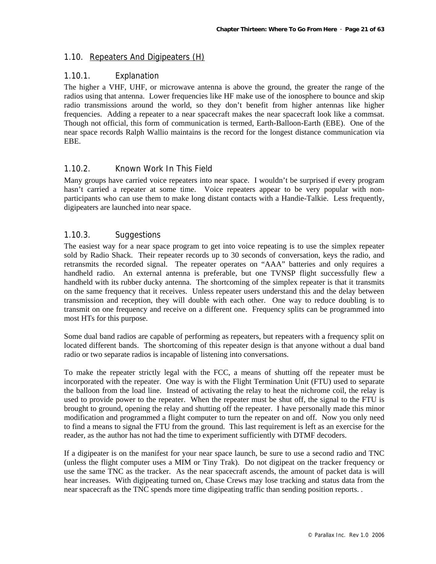### 1.10. Repeaters And Digipeaters (H)

### 1.10.1. Explanation

The higher a VHF, UHF, or microwave antenna is above the ground, the greater the range of the radios using that antenna. Lower frequencies like HF make use of the ionosphere to bounce and skip radio transmissions around the world, so they don't benefit from higher antennas like higher frequencies. Adding a repeater to a near spacecraft makes the near spacecraft look like a commsat. Though not official, this form of communication is termed, Earth-Balloon-Earth (EBE). One of the near space records Ralph Wallio maintains is the record for the longest distance communication via EBE.

### 1.10.2. Known Work In This Field

Many groups have carried voice repeaters into near space. I wouldn't be surprised if every program hasn't carried a repeater at some time. Voice repeaters appear to be very popular with nonparticipants who can use them to make long distant contacts with a Handie-Talkie. Less frequently, digipeaters are launched into near space.

### 1.10.3. Suggestions

The easiest way for a near space program to get into voice repeating is to use the simplex repeater sold by Radio Shack. Their repeater records up to 30 seconds of conversation, keys the radio, and retransmits the recorded signal. The repeater operates on "AAA" batteries and only requires a handheld radio. An external antenna is preferable, but one TVNSP flight successfully flew a handheld with its rubber ducky antenna. The shortcoming of the simplex repeater is that it transmits on the same frequency that it receives. Unless repeater users understand this and the delay between transmission and reception, they will double with each other. One way to reduce doubling is to transmit on one frequency and receive on a different one. Frequency splits can be programmed into most HTs for this purpose.

Some dual band radios are capable of performing as repeaters, but repeaters with a frequency split on located different bands. The shortcoming of this repeater design is that anyone without a dual band radio or two separate radios is incapable of listening into conversations.

To make the repeater strictly legal with the FCC, a means of shutting off the repeater must be incorporated with the repeater. One way is with the Flight Termination Unit (FTU) used to separate the balloon from the load line. Instead of activating the relay to heat the nichrome coil, the relay is used to provide power to the repeater. When the repeater must be shut off, the signal to the FTU is brought to ground, opening the relay and shutting off the repeater. I have personally made this minor modification and programmed a flight computer to turn the repeater on and off. Now you only need to find a means to signal the FTU from the ground. This last requirement is left as an exercise for the reader, as the author has not had the time to experiment sufficiently with DTMF decoders.

If a digipeater is on the manifest for your near space launch, be sure to use a second radio and TNC (unless the flight computer uses a MIM or Tiny Trak). Do not digipeat on the tracker frequency or use the same TNC as the tracker. As the near spacecraft ascends, the amount of packet data is will hear increases. With digipeating turned on, Chase Crews may lose tracking and status data from the near spacecraft as the TNC spends more time digipeating traffic than sending position reports. .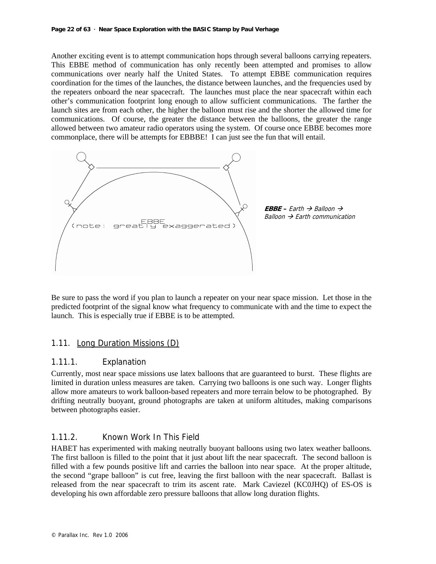#### **Page 22 of 63 · Near Space Exploration with the BASIC Stamp by Paul Verhage**

Another exciting event is to attempt communication hops through several balloons carrying repeaters. This EBBE method of communication has only recently been attempted and promises to allow communications over nearly half the United States. To attempt EBBE communication requires coordination for the times of the launches, the distance between launches, and the frequencies used by the repeaters onboard the near spacecraft. The launches must place the near spacecraft within each other's communication footprint long enough to allow sufficient communications. The farther the launch sites are from each other, the higher the balloon must rise and the shorter the allowed time for communications. Of course, the greater the distance between the balloons, the greater the range allowed between two amateur radio operators using the system. Of course once EBBE becomes more commonplace, there will be attempts for EBBBE! I can just see the fun that will entail.



Be sure to pass the word if you plan to launch a repeater on your near space mission. Let those in the predicted footprint of the signal know what frequency to communicate with and the time to expect the launch. This is especially true if EBBE is to be attempted.

### 1.11. Long Duration Missions (D)

### 1.11.1. Explanation

Currently, most near space missions use latex balloons that are guaranteed to burst. These flights are limited in duration unless measures are taken. Carrying two balloons is one such way. Longer flights allow more amateurs to work balloon-based repeaters and more terrain below to be photographed. By drifting neutrally buoyant, ground photographs are taken at uniform altitudes, making comparisons between photographs easier.

### 1.11.2. Known Work In This Field

HABET has experimented with making neutrally buoyant balloons using two latex weather balloons. The first balloon is filled to the point that it just about lift the near spacecraft. The second balloon is filled with a few pounds positive lift and carries the balloon into near space. At the proper altitude, the second "grape balloon" is cut free, leaving the first balloon with the near spacecraft. Ballast is released from the near spacecraft to trim its ascent rate. Mark Caviezel (KC0JHQ) of ES-OS is developing his own affordable zero pressure balloons that allow long duration flights.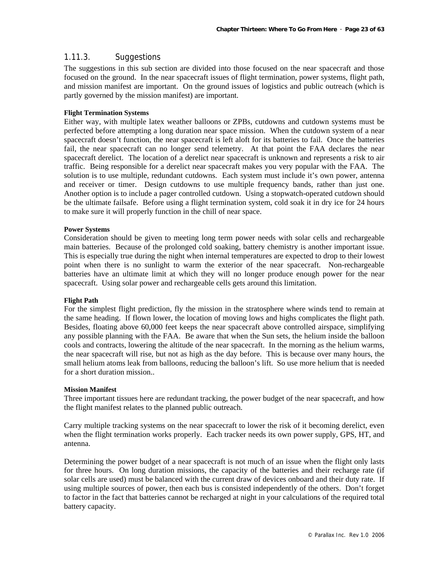### 1.11.3. Suggestions

The suggestions in this sub section are divided into those focused on the near spacecraft and those focused on the ground. In the near spacecraft issues of flight termination, power systems, flight path, and mission manifest are important. On the ground issues of logistics and public outreach (which is partly governed by the mission manifest) are important.

#### **Flight Termination Systems**

Either way, with multiple latex weather balloons or ZPBs, cutdowns and cutdown systems must be perfected before attempting a long duration near space mission. When the cutdown system of a near spacecraft doesn't function, the near spacecraft is left aloft for its batteries to fail. Once the batteries fail, the near spacecraft can no longer send telemetry. At that point the FAA declares the near spacecraft derelict. The location of a derelict near spacecraft is unknown and represents a risk to air traffic. Being responsible for a derelict near spacecraft makes you very popular with the FAA. The solution is to use multiple, redundant cutdowns. Each system must include it's own power, antenna and receiver or timer. Design cutdowns to use multiple frequency bands, rather than just one. Another option is to include a pager controlled cutdown. Using a stopwatch-operated cutdown should be the ultimate failsafe. Before using a flight termination system, cold soak it in dry ice for 24 hours to make sure it will properly function in the chill of near space.

#### **Power Systems**

Consideration should be given to meeting long term power needs with solar cells and rechargeable main batteries. Because of the prolonged cold soaking, battery chemistry is another important issue. This is especially true during the night when internal temperatures are expected to drop to their lowest point when there is no sunlight to warm the exterior of the near spacecraft. Non-rechargeable batteries have an ultimate limit at which they will no longer produce enough power for the near spacecraft. Using solar power and rechargeable cells gets around this limitation.

#### **Flight Path**

For the simplest flight prediction, fly the mission in the stratosphere where winds tend to remain at the same heading. If flown lower, the location of moving lows and highs complicates the flight path. Besides, floating above 60,000 feet keeps the near spacecraft above controlled airspace, simplifying any possible planning with the FAA. Be aware that when the Sun sets, the helium inside the balloon cools and contracts, lowering the altitude of the near spacecraft. In the morning as the helium warms, the near spacecraft will rise, but not as high as the day before. This is because over many hours, the small helium atoms leak from balloons, reducing the balloon's lift. So use more helium that is needed for a short duration mission..

#### **Mission Manifest**

Three important tissues here are redundant tracking, the power budget of the near spacecraft, and how the flight manifest relates to the planned public outreach.

Carry multiple tracking systems on the near spacecraft to lower the risk of it becoming derelict, even when the flight termination works properly. Each tracker needs its own power supply, GPS, HT, and antenna.

Determining the power budget of a near spacecraft is not much of an issue when the flight only lasts for three hours. On long duration missions, the capacity of the batteries and their recharge rate (if solar cells are used) must be balanced with the current draw of devices onboard and their duty rate. If using multiple sources of power, then each bus is consisted independently of the others. Don't forget to factor in the fact that batteries cannot be recharged at night in your calculations of the required total battery capacity.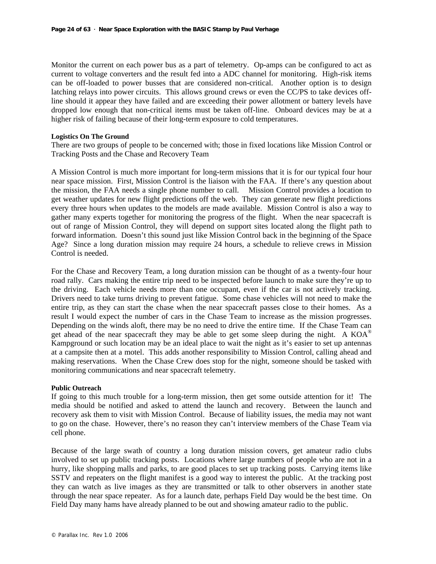Monitor the current on each power bus as a part of telemetry. Op-amps can be configured to act as current to voltage converters and the result fed into a ADC channel for monitoring. High-risk items can be off-loaded to power busses that are considered non-critical. Another option is to design latching relays into power circuits. This allows ground crews or even the CC/PS to take devices offline should it appear they have failed and are exceeding their power allotment or battery levels have dropped low enough that non-critical items must be taken off-line. Onboard devices may be at a higher risk of failing because of their long-term exposure to cold temperatures.

#### **Logistics On The Ground**

There are two groups of people to be concerned with; those in fixed locations like Mission Control or Tracking Posts and the Chase and Recovery Team

A Mission Control is much more important for long-term missions that it is for our typical four hour near space mission. First, Mission Control is the liaison with the FAA. If there's any question about the mission, the FAA needs a single phone number to call. Mission Control provides a location to get weather updates for new flight predictions off the web. They can generate new flight predictions every three hours when updates to the models are made available. Mission Control is also a way to gather many experts together for monitoring the progress of the flight. When the near spacecraft is out of range of Mission Control, they will depend on support sites located along the flight path to forward information. Doesn't this sound just like Mission Control back in the beginning of the Space Age? Since a long duration mission may require 24 hours, a schedule to relieve crews in Mission Control is needed.

For the Chase and Recovery Team, a long duration mission can be thought of as a twenty-four hour road rally. Cars making the entire trip need to be inspected before launch to make sure they're up to the driving. Each vehicle needs more than one occupant, even if the car is not actively tracking. Drivers need to take turns driving to prevent fatigue. Some chase vehicles will not need to make the entire trip, as they can start the chase when the near spacecraft passes close to their homes. As a result I would expect the number of cars in the Chase Team to increase as the mission progresses. Depending on the winds aloft, there may be no need to drive the entire time. If the Chase Team can get ahead of the near spacecraft they may be able to get some sleep during the night. A  $KOA^{\circledcirc}$ Kampground or such location may be an ideal place to wait the night as it's easier to set up antennas at a campsite then at a motel. This adds another responsibility to Mission Control, calling ahead and making reservations. When the Chase Crew does stop for the night, someone should be tasked with monitoring communications and near spacecraft telemetry.

#### **Public Outreach**

If going to this much trouble for a long-term mission, then get some outside attention for it! The media should be notified and asked to attend the launch and recovery. Between the launch and recovery ask them to visit with Mission Control. Because of liability issues, the media may not want to go on the chase. However, there's no reason they can't interview members of the Chase Team via cell phone.

Because of the large swath of country a long duration mission covers, get amateur radio clubs involved to set up public tracking posts. Locations where large numbers of people who are not in a hurry, like shopping malls and parks, to are good places to set up tracking posts. Carrying items like SSTV and repeaters on the flight manifest is a good way to interest the public. At the tracking post they can watch as live images as they are transmitted or talk to other observers in another state through the near space repeater. As for a launch date, perhaps Field Day would be the best time. On Field Day many hams have already planned to be out and showing amateur radio to the public.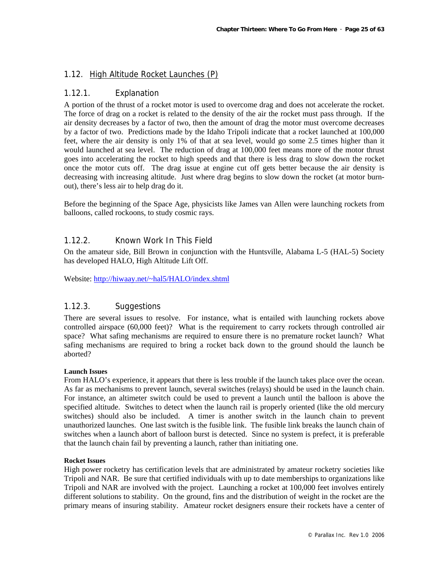### 1.12. High Altitude Rocket Launches (P)

### 1.12.1. Explanation

A portion of the thrust of a rocket motor is used to overcome drag and does not accelerate the rocket. The force of drag on a rocket is related to the density of the air the rocket must pass through. If the air density decreases by a factor of two, then the amount of drag the motor must overcome decreases by a factor of two. Predictions made by the Idaho Tripoli indicate that a rocket launched at 100,000 feet, where the air density is only 1% of that at sea level, would go some 2.5 times higher than it would launched at sea level. The reduction of drag at 100,000 feet means more of the motor thrust goes into accelerating the rocket to high speeds and that there is less drag to slow down the rocket once the motor cuts off. The drag issue at engine cut off gets better because the air density is decreasing with increasing altitude. Just where drag begins to slow down the rocket (at motor burnout), there's less air to help drag do it.

Before the beginning of the Space Age, physicists like James van Allen were launching rockets from balloons, called rockoons, to study cosmic rays.

### 1.12.2. Known Work In This Field

On the amateur side, Bill Brown in conjunction with the Huntsville, Alabama L-5 (HAL-5) Society has developed HALO, High Altitude Lift Off.

Website: http://hiwaay.net/~hal5/HALO/index.shtml

### 1.12.3. Suggestions

There are several issues to resolve. For instance, what is entailed with launching rockets above controlled airspace (60,000 feet)? What is the requirement to carry rockets through controlled air space? What safing mechanisms are required to ensure there is no premature rocket launch? What safing mechanisms are required to bring a rocket back down to the ground should the launch be aborted?

#### **Launch Issues**

From HALO's experience, it appears that there is less trouble if the launch takes place over the ocean. As far as mechanisms to prevent launch, several switches (relays) should be used in the launch chain. For instance, an altimeter switch could be used to prevent a launch until the balloon is above the specified altitude. Switches to detect when the launch rail is properly oriented (like the old mercury switches) should also be included. A timer is another switch in the launch chain to prevent unauthorized launches. One last switch is the fusible link. The fusible link breaks the launch chain of switches when a launch abort of balloon burst is detected. Since no system is prefect, it is preferable that the launch chain fail by preventing a launch, rather than initiating one.

#### **Rocket Issues**

High power rocketry has certification levels that are administrated by amateur rocketry societies like Tripoli and NAR. Be sure that certified individuals with up to date memberships to organizations like Tripoli and NAR are involved with the project. Launching a rocket at 100,000 feet involves entirely different solutions to stability. On the ground, fins and the distribution of weight in the rocket are the primary means of insuring stability. Amateur rocket designers ensure their rockets have a center of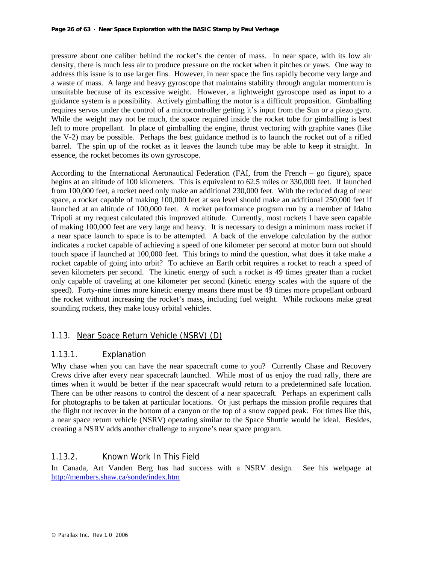pressure about one caliber behind the rocket's the center of mass. In near space, with its low air density, there is much less air to produce pressure on the rocket when it pitches or yaws. One way to address this issue is to use larger fins. However, in near space the fins rapidly become very large and a waste of mass. A large and heavy gyroscope that maintains stability through angular momentum is unsuitable because of its excessive weight. However, a lightweight gyroscope used as input to a guidance system is a possibility. Actively gimballing the motor is a difficult proposition. Gimballing requires servos under the control of a microcontroller getting it's input from the Sun or a piezo gyro. While the weight may not be much, the space required inside the rocket tube for gimballing is best left to more propellant. In place of gimballing the engine, thrust vectoring with graphite vanes (like the V-2) may be possible. Perhaps the best guidance method is to launch the rocket out of a rifled barrel. The spin up of the rocket as it leaves the launch tube may be able to keep it straight. In essence, the rocket becomes its own gyroscope.

According to the International Aeronautical Federation (FAI, from the French – go figure), space begins at an altitude of 100 kilometers. This is equivalent to 62.5 miles or 330,000 feet. If launched from 100,000 feet, a rocket need only make an additional 230,000 feet. With the reduced drag of near space, a rocket capable of making 100,000 feet at sea level should make an additional 250,000 feet if launched at an altitude of 100,000 feet. A rocket performance program run by a member of Idaho Tripoli at my request calculated this improved altitude. Currently, most rockets I have seen capable of making 100,000 feet are very large and heavy. It is necessary to design a minimum mass rocket if a near space launch to space is to be attempted. A back of the envelope calculation by the author indicates a rocket capable of achieving a speed of one kilometer per second at motor burn out should touch space if launched at 100,000 feet. This brings to mind the question, what does it take make a rocket capable of going into orbit? To achieve an Earth orbit requires a rocket to reach a speed of seven kilometers per second. The kinetic energy of such a rocket is 49 times greater than a rocket only capable of traveling at one kilometer per second (kinetic energy scales with the square of the speed). Forty-nine times more kinetic energy means there must be 49 times more propellant onboard the rocket without increasing the rocket's mass, including fuel weight. While rockoons make great sounding rockets, they make lousy orbital vehicles.

### 1.13. Near Space Return Vehicle (NSRV) (D)

### 1.13.1. Explanation

Why chase when you can have the near spacecraft come to you? Currently Chase and Recovery Crews drive after every near spacecraft launched. While most of us enjoy the road rally, there are times when it would be better if the near spacecraft would return to a predetermined safe location. There can be other reasons to control the descent of a near spacecraft. Perhaps an experiment calls for photographs to be taken at particular locations. Or just perhaps the mission profile requires that the flight not recover in the bottom of a canyon or the top of a snow capped peak. For times like this, a near space return vehicle (NSRV) operating similar to the Space Shuttle would be ideal. Besides, creating a NSRV adds another challenge to anyone's near space program.

### 1.13.2. Known Work In This Field

In Canada, Art Vanden Berg has had success with a NSRV design. See his webpage at http://members.shaw.ca/sonde/index.htm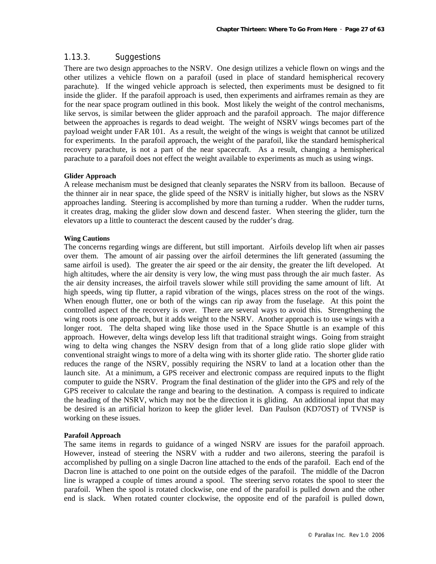### 1.13.3. Suggestions

There are two design approaches to the NSRV. One design utilizes a vehicle flown on wings and the other utilizes a vehicle flown on a parafoil (used in place of standard hemispherical recovery parachute). If the winged vehicle approach is selected, then experiments must be designed to fit inside the glider. If the parafoil approach is used, then experiments and airframes remain as they are for the near space program outlined in this book. Most likely the weight of the control mechanisms, like servos, is similar between the glider approach and the parafoil approach. The major difference between the approaches is regards to dead weight. The weight of NSRV wings becomes part of the payload weight under FAR 101. As a result, the weight of the wings is weight that cannot be utilized for experiments. In the parafoil approach, the weight of the parafoil, like the standard hemispherical recovery parachute, is not a part of the near spacecraft. As a result, changing a hemispherical parachute to a parafoil does not effect the weight available to experiments as much as using wings.

#### **Glider Approach**

A release mechanism must be designed that cleanly separates the NSRV from its balloon. Because of the thinner air in near space, the glide speed of the NSRV is initially higher, but slows as the NSRV approaches landing. Steering is accomplished by more than turning a rudder. When the rudder turns, it creates drag, making the glider slow down and descend faster. When steering the glider, turn the elevators up a little to counteract the descent caused by the rudder's drag.

#### **Wing Cautions**

The concerns regarding wings are different, but still important. Airfoils develop lift when air passes over them. The amount of air passing over the airfoil determines the lift generated (assuming the same airfoil is used). The greater the air speed or the air density, the greater the lift developed. At high altitudes, where the air density is very low, the wing must pass through the air much faster. As the air density increases, the airfoil travels slower while still providing the same amount of lift. At high speeds, wing tip flutter, a rapid vibration of the wings, places stress on the root of the wings. When enough flutter, one or both of the wings can rip away from the fuselage. At this point the controlled aspect of the recovery is over. There are several ways to avoid this. Strengthening the wing roots is one approach, but it adds weight to the NSRV. Another approach is to use wings with a longer root. The delta shaped wing like those used in the Space Shuttle is an example of this approach. However, delta wings develop less lift that traditional straight wings. Going from straight wing to delta wing changes the NSRV design from that of a long glide ratio slope glider with conventional straight wings to more of a delta wing with its shorter glide ratio. The shorter glide ratio reduces the range of the NSRV, possibly requiring the NSRV to land at a location other than the launch site. At a minimum, a GPS receiver and electronic compass are required inputs to the flight computer to guide the NSRV. Program the final destination of the glider into the GPS and rely of the GPS receiver to calculate the range and bearing to the destination. A compass is required to indicate the heading of the NSRV, which may not be the direction it is gliding. An additional input that may be desired is an artificial horizon to keep the glider level. Dan Paulson (KD7OST) of TVNSP is working on these issues.

#### **Parafoil Approach**

The same items in regards to guidance of a winged NSRV are issues for the parafoil approach. However, instead of steering the NSRV with a rudder and two ailerons, steering the parafoil is accomplished by pulling on a single Dacron line attached to the ends of the parafoil. Each end of the Dacron line is attached to one point on the outside edges of the parafoil. The middle of the Dacron line is wrapped a couple of times around a spool. The steering servo rotates the spool to steer the parafoil. When the spool is rotated clockwise, one end of the parafoil is pulled down and the other end is slack. When rotated counter clockwise, the opposite end of the parafoil is pulled down,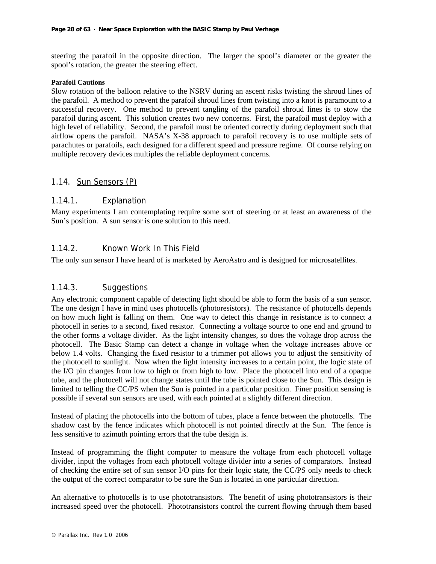steering the parafoil in the opposite direction. The larger the spool's diameter or the greater the spool's rotation, the greater the steering effect.

#### **Parafoil Cautions**

Slow rotation of the balloon relative to the NSRV during an ascent risks twisting the shroud lines of the parafoil. A method to prevent the parafoil shroud lines from twisting into a knot is paramount to a successful recovery. One method to prevent tangling of the parafoil shroud lines is to stow the parafoil during ascent. This solution creates two new concerns. First, the parafoil must deploy with a high level of reliability. Second, the parafoil must be oriented correctly during deployment such that airflow opens the parafoil. NASA's X-38 approach to parafoil recovery is to use multiple sets of parachutes or parafoils, each designed for a different speed and pressure regime. Of course relying on multiple recovery devices multiples the reliable deployment concerns.

### 1.14. Sun Sensors (P)

### 1.14.1. Explanation

Many experiments I am contemplating require some sort of steering or at least an awareness of the Sun's position. A sun sensor is one solution to this need.

### 1.14.2. Known Work In This Field

The only sun sensor I have heard of is marketed by AeroAstro and is designed for microsatellites.

### 1.14.3. Suggestions

Any electronic component capable of detecting light should be able to form the basis of a sun sensor. The one design I have in mind uses photocells (photoresistors). The resistance of photocells depends on how much light is falling on them. One way to detect this change in resistance is to connect a photocell in series to a second, fixed resistor. Connecting a voltage source to one end and ground to the other forms a voltage divider. As the light intensity changes, so does the voltage drop across the photocell. The Basic Stamp can detect a change in voltage when the voltage increases above or below 1.4 volts. Changing the fixed resistor to a trimmer pot allows you to adjust the sensitivity of the photocell to sunlight. Now when the light intensity increases to a certain point, the logic state of the I/O pin changes from low to high or from high to low. Place the photocell into end of a opaque tube, and the photocell will not change states until the tube is pointed close to the Sun. This design is limited to telling the CC/PS when the Sun is pointed in a particular position. Finer position sensing is possible if several sun sensors are used, with each pointed at a slightly different direction.

Instead of placing the photocells into the bottom of tubes, place a fence between the photocells. The shadow cast by the fence indicates which photocell is not pointed directly at the Sun. The fence is less sensitive to azimuth pointing errors that the tube design is.

Instead of programming the flight computer to measure the voltage from each photocell voltage divider, input the voltages from each photocell voltage divider into a series of comparators. Instead of checking the entire set of sun sensor I/O pins for their logic state, the CC/PS only needs to check the output of the correct comparator to be sure the Sun is located in one particular direction.

An alternative to photocells is to use phototransistors. The benefit of using phototransistors is their increased speed over the photocell. Phototransistors control the current flowing through them based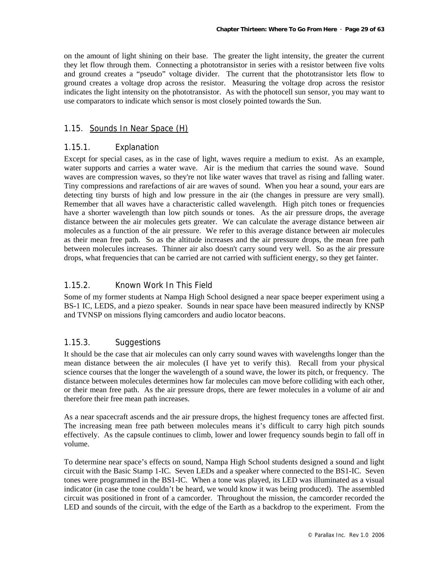on the amount of light shining on their base. The greater the light intensity, the greater the current they let flow through them. Connecting a phototransistor in series with a resistor between five volts and ground creates a "pseudo" voltage divider. The current that the phototransistor lets flow to ground creates a voltage drop across the resistor. Measuring the voltage drop across the resistor indicates the light intensity on the phototransistor. As with the photocell sun sensor, you may want to use comparators to indicate which sensor is most closely pointed towards the Sun.

### 1.15. Sounds In Near Space (H)

### 1.15.1. Explanation

Except for special cases, as in the case of light, waves require a medium to exist. As an example, water supports and carries a water wave. Air is the medium that carries the sound wave. Sound waves are compression waves, so they're not like water waves that travel as rising and falling water. Tiny compressions and rarefactions of air are waves of sound. When you hear a sound, your ears are detecting tiny bursts of high and low pressure in the air (the changes in pressure are very small). Remember that all waves have a characteristic called wavelength. High pitch tones or frequencies have a shorter wavelength than low pitch sounds or tones. As the air pressure drops, the average distance between the air molecules gets greater. We can calculate the average distance between air molecules as a function of the air pressure. We refer to this average distance between air molecules as their mean free path. So as the altitude increases and the air pressure drops, the mean free path between molecules increases. Thinner air also doesn't carry sound very well. So as the air pressure drops, what frequencies that can be carried are not carried with sufficient energy, so they get fainter.

### 1.15.2. Known Work In This Field

Some of my former students at Nampa High School designed a near space beeper experiment using a BS-1 IC, LEDS, and a piezo speaker. Sounds in near space have been measured indirectly by KNSP and TVNSP on missions flying camcorders and audio locator beacons.

### 1.15.3. Suggestions

It should be the case that air molecules can only carry sound waves with wavelengths longer than the mean distance between the air molecules (I have yet to verify this). Recall from your physical science courses that the longer the wavelength of a sound wave, the lower its pitch, or frequency. The distance between molecules determines how far molecules can move before colliding with each other, or their mean free path. As the air pressure drops, there are fewer molecules in a volume of air and therefore their free mean path increases.

As a near spacecraft ascends and the air pressure drops, the highest frequency tones are affected first. The increasing mean free path between molecules means it's difficult to carry high pitch sounds effectively. As the capsule continues to climb, lower and lower frequency sounds begin to fall off in volume.

To determine near space's effects on sound, Nampa High School students designed a sound and light circuit with the Basic Stamp 1-IC. Seven LEDs and a speaker where connected to the BS1-IC. Seven tones were programmed in the BS1-IC. When a tone was played, its LED was illuminated as a visual indicator (in case the tone couldn't be heard, we would know it was being produced). The assembled circuit was positioned in front of a camcorder. Throughout the mission, the camcorder recorded the LED and sounds of the circuit, with the edge of the Earth as a backdrop to the experiment. From the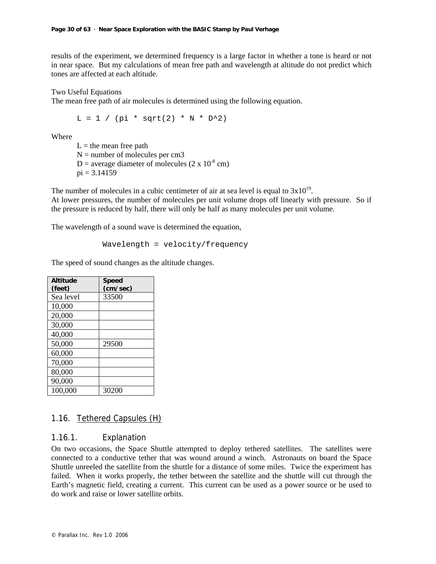results of the experiment, we determined frequency is a large factor in whether a tone is heard or not in near space. But my calculations of mean free path and wavelength at altitude do not predict which tones are affected at each altitude.

Two Useful Equations

The mean free path of air molecules is determined using the following equation.

 $L = 1 / (pi * sqrt(2) * N * D^2)$ 

Where

 $L =$  the mean free path  $N =$  number of molecules per cm3 D = average diameter of molecules  $(2 \times 10^{-8} \text{ cm})$  $pi = 3.14159$ 

The number of molecules in a cubic centimeter of air at sea level is equal to  $3x10^{19}$ . At lower pressures, the number of molecules per unit volume drops off linearly with pressure. So if the pressure is reduced by half, there will only be half as many molecules per unit volume.

The wavelength of a sound wave is determined the equation,

Wavelength = velocity/frequency

The speed of sound changes as the altitude changes.

| <b>Altitude</b><br>(feet) | <b>Speed</b><br>(cm/sec) |
|---------------------------|--------------------------|
| Sea level                 | 33500                    |
| 10,000                    |                          |
| 20,000                    |                          |
| 30,000                    |                          |
| 40,000                    |                          |
| 50,000                    | 29500                    |
| 60,000                    |                          |
| 70,000                    |                          |
| 80,000                    |                          |
| 90,000                    |                          |
| 100,000                   | 30200                    |

### 1.16. Tethered Capsules (H)

### 1.16.1. Explanation

On two occasions, the Space Shuttle attempted to deploy tethered satellites. The satellites were connected to a conductive tether that was wound around a winch. Astronauts on board the Space Shuttle unreeled the satellite from the shuttle for a distance of some miles. Twice the experiment has failed. When it works properly, the tether between the satellite and the shuttle will cut through the Earth's magnetic field, creating a current. This current can be used as a power source or be used to do work and raise or lower satellite orbits.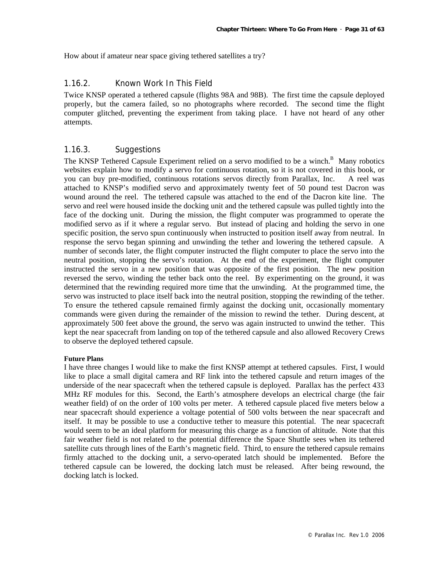How about if amateur near space giving tethered satellites a try?

### 1.16.2. Known Work In This Field

Twice KNSP operated a tethered capsule (flights 98A and 98B). The first time the capsule deployed properly, but the camera failed, so no photographs where recorded. The second time the flight computer glitched, preventing the experiment from taking place. I have not heard of any other attempts.

### 1.16.3. Suggestions

The KNSP Tethered Capsule Experiment relied on a servo modified to be a winch.<sup>B</sup> Many robotics websites explain how to modify a servo for continuous rotation, so it is not covered in this book, or you can buy pre-modified, continuous rotations servos directly from Parallax, Inc. A reel was attached to KNSP's modified servo and approximately twenty feet of 50 pound test Dacron was wound around the reel. The tethered capsule was attached to the end of the Dacron kite line. The servo and reel were housed inside the docking unit and the tethered capsule was pulled tightly into the face of the docking unit. During the mission, the flight computer was programmed to operate the modified servo as if it where a regular servo. But instead of placing and holding the servo in one specific position, the servo spun continuously when instructed to position itself away from neutral. In response the servo began spinning and unwinding the tether and lowering the tethered capsule. A number of seconds later, the flight computer instructed the flight computer to place the servo into the neutral position, stopping the servo's rotation. At the end of the experiment, the flight computer instructed the servo in a new position that was opposite of the first position. The new position reversed the servo, winding the tether back onto the reel. By experimenting on the ground, it was determined that the rewinding required more time that the unwinding. At the programmed time, the servo was instructed to place itself back into the neutral position, stopping the rewinding of the tether. To ensure the tethered capsule remained firmly against the docking unit, occasionally momentary commands were given during the remainder of the mission to rewind the tether. During descent, at approximately 500 feet above the ground, the servo was again instructed to unwind the tether. This kept the near spacecraft from landing on top of the tethered capsule and also allowed Recovery Crews to observe the deployed tethered capsule.

#### **Future Plans**

I have three changes I would like to make the first KNSP attempt at tethered capsules. First, I would like to place a small digital camera and RF link into the tethered capsule and return images of the underside of the near spacecraft when the tethered capsule is deployed. Parallax has the perfect 433 MHz RF modules for this. Second, the Earth's atmosphere develops an electrical charge (the fair weather field) of on the order of 100 volts per meter. A tethered capsule placed five meters below a near spacecraft should experience a voltage potential of 500 volts between the near spacecraft and itself. It may be possible to use a conductive tether to measure this potential. The near spacecraft would seem to be an ideal platform for measuring this charge as a function of altitude. Note that this fair weather field is not related to the potential difference the Space Shuttle sees when its tethered satellite cuts through lines of the Earth's magnetic field. Third, to ensure the tethered capsule remains firmly attached to the docking unit, a servo-operated latch should be implemented. Before the tethered capsule can be lowered, the docking latch must be released. After being rewound, the docking latch is locked.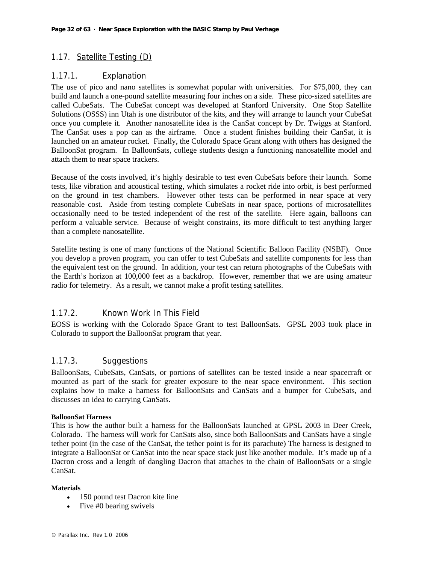### 1.17. Satellite Testing (D)

### 1.17.1. Explanation

The use of pico and nano satellites is somewhat popular with universities. For \$75,000, they can build and launch a one-pound satellite measuring four inches on a side. These pico-sized satellites are called CubeSats. The CubeSat concept was developed at Stanford University. One Stop Satellite Solutions (OSSS) inn Utah is one distributor of the kits, and they will arrange to launch your CubeSat once you complete it. Another nanosatellite idea is the CanSat concept by Dr. Twiggs at Stanford. The CanSat uses a pop can as the airframe. Once a student finishes building their CanSat, it is launched on an amateur rocket. Finally, the Colorado Space Grant along with others has designed the BalloonSat program. In BalloonSats, college students design a functioning nanosatellite model and attach them to near space trackers.

Because of the costs involved, it's highly desirable to test even CubeSats before their launch. Some tests, like vibration and acoustical testing, which simulates a rocket ride into orbit, is best performed on the ground in test chambers. However other tests can be performed in near space at very reasonable cost. Aside from testing complete CubeSats in near space, portions of microsatellites occasionally need to be tested independent of the rest of the satellite. Here again, balloons can perform a valuable service. Because of weight constrains, its more difficult to test anything larger than a complete nanosatellite.

Satellite testing is one of many functions of the National Scientific Balloon Facility (NSBF). Once you develop a proven program, you can offer to test CubeSats and satellite components for less than the equivalent test on the ground. In addition, your test can return photographs of the CubeSats with the Earth's horizon at 100,000 feet as a backdrop. However, remember that we are using amateur radio for telemetry. As a result, we cannot make a profit testing satellites.

### 1.17.2. Known Work In This Field

EOSS is working with the Colorado Space Grant to test BalloonSats. GPSL 2003 took place in Colorado to support the BalloonSat program that year.

### 1.17.3. Suggestions

BalloonSats, CubeSats, CanSats, or portions of satellites can be tested inside a near spacecraft or mounted as part of the stack for greater exposure to the near space environment. This section explains how to make a harness for BalloonSats and CanSats and a bumper for CubeSats, and discusses an idea to carrying CanSats.

#### **BalloonSat Harness**

This is how the author built a harness for the BalloonSats launched at GPSL 2003 in Deer Creek, Colorado. The harness will work for CanSats also, since both BalloonSats and CanSats have a single tether point (in the case of the CanSat, the tether point is for its parachute) The harness is designed to integrate a BalloonSat or CanSat into the near space stack just like another module. It's made up of a Dacron cross and a length of dangling Dacron that attaches to the chain of BalloonSats or a single CanSat.

#### **Materials**

- 150 pound test Dacron kite line
- Five #0 bearing swivels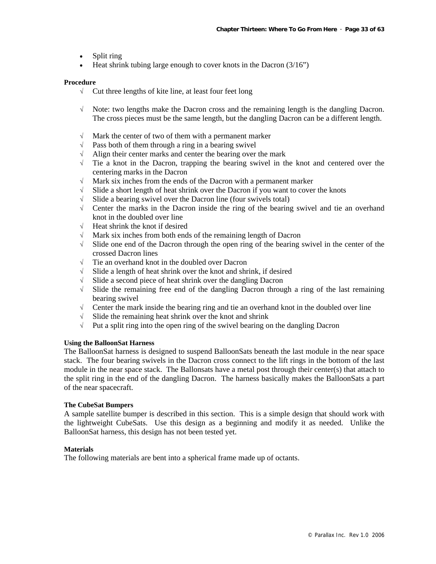- Split ring
- Heat shrink tubing large enough to cover knots in the Dacron  $(3/16)$ "

#### **Procedure**

- √ Cut three lengths of kite line, at least four feet long
- √ Note: two lengths make the Dacron cross and the remaining length is the dangling Dacron. The cross pieces must be the same length, but the dangling Dacron can be a different length.
- $\sqrt{\phantom{a}}$  Mark the center of two of them with a permanent marker
- $\sqrt{\phantom{a}}$  Pass both of them through a ring in a bearing swivel
- $\sqrt{\phantom{a}}$  Align their center marks and center the bearing over the mark
- $\sqrt{\phantom{a}}$  Tie a knot in the Dacron, trapping the bearing swivel in the knot and centered over the centering marks in the Dacron
- √ Mark six inches from the ends of the Dacron with a permanent marker
- $\sqrt{\phantom{a}}$  Slide a short length of heat shrink over the Dacron if you want to cover the knots
- √ Slide a bearing swivel over the Dacron line (four swivels total)
- √ Center the marks in the Dacron inside the ring of the bearing swivel and tie an overhand knot in the doubled over line
- √ Heat shrink the knot if desired
- √ Mark six inches from both ends of the remaining length of Dacron
- √ Slide one end of the Dacron through the open ring of the bearing swivel in the center of the crossed Dacron lines
- √ Tie an overhand knot in the doubled over Dacron
- √ Slide a length of heat shrink over the knot and shrink, if desired
- √ Slide a second piece of heat shrink over the dangling Dacron
- √ Slide the remaining free end of the dangling Dacron through a ring of the last remaining bearing swivel
- $\sqrt{\phantom{a}}$  Center the mark inside the bearing ring and tie an overhand knot in the doubled over line
- $\sqrt{\phantom{a}}$  Slide the remaining heat shrink over the knot and shrink
- √ Put a split ring into the open ring of the swivel bearing on the dangling Dacron

#### **Using the BalloonSat Harness**

The BalloonSat harness is designed to suspend BalloonSats beneath the last module in the near space stack. The four bearing swivels in the Dacron cross connect to the lift rings in the bottom of the last module in the near space stack. The Ballonsats have a metal post through their center(s) that attach to the split ring in the end of the dangling Dacron. The harness basically makes the BalloonSats a part of the near spacecraft.

#### **The CubeSat Bumpers**

A sample satellite bumper is described in this section. This is a simple design that should work with the lightweight CubeSats. Use this design as a beginning and modify it as needed. Unlike the BalloonSat harness, this design has not been tested yet.

#### **Materials**

The following materials are bent into a spherical frame made up of octants.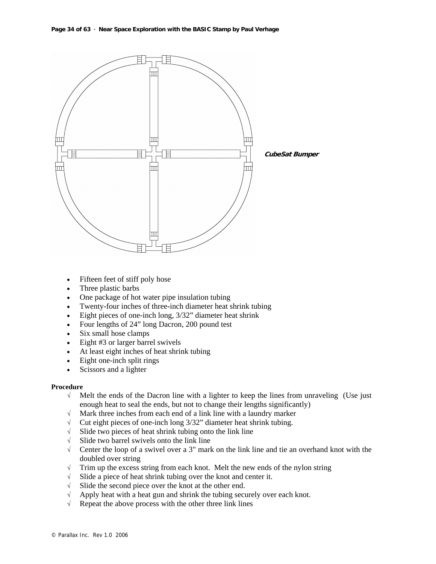

- Fifteen feet of stiff poly hose
- Three plastic barbs
- One package of hot water pipe insulation tubing
- Twenty-four inches of three-inch diameter heat shrink tubing
- Eight pieces of one-inch long,  $3/32$ " diameter heat shrink
- Four lengths of 24" long Dacron, 200 pound test
- Six small hose clamps
- Eight #3 or larger barrel swivels
- At least eight inches of heat shrink tubing
- Eight one-inch split rings
- Scissors and a lighter

#### **Procedure**

- √ Melt the ends of the Dacron line with a lighter to keep the lines from unraveling (Use just enough heat to seal the ends, but not to change their lengths significantly)
- √ Mark three inches from each end of a link line with a laundry marker
- √ Cut eight pieces of one-inch long 3/32" diameter heat shrink tubing.
- $\sqrt{\phantom{a}}$  Slide two pieces of heat shrink tubing onto the link line
- √ Slide two barrel swivels onto the link line
- √ Center the loop of a swivel over a 3" mark on the link line and tie an overhand knot with the doubled over string
- $\sqrt{\phantom{a}}$  Trim up the excess string from each knot. Melt the new ends of the nylon string
- √ Slide a piece of heat shrink tubing over the knot and center it.
- √ Slide the second piece over the knot at the other end.
- $\sqrt{\phantom{a}}$  Apply heat with a heat gun and shrink the tubing securely over each knot.
- $\sqrt{\phantom{a}}$  Repeat the above process with the other three link lines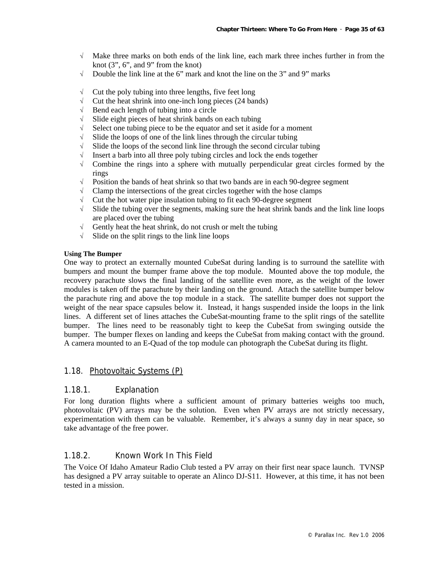- $\sqrt{\phantom{a}}$  Make three marks on both ends of the link line, each mark three inches further in from the knot  $(3", 6",$  and  $9"$  from the knot)
- $\sqrt{\phantom{a}}$  Double the link line at the 6" mark and knot the line on the 3" and 9" marks
- $\sqrt{\phantom{a}}$  Cut the poly tubing into three lengths, five feet long
- $\sqrt{\phantom{a}}$  Cut the heat shrink into one-inch long pieces (24 bands)
- √ Bend each length of tubing into a circle
- √ Slide eight pieces of heat shrink bands on each tubing
- $\sqrt{\phantom{a}}$  Select one tubing piece to be the equator and set it aside for a moment
- $\sqrt{\phantom{a}}$  Slide the loops of one of the link lines through the circular tubing
- $\sqrt{\phantom{a}}$  Slide the loops of the second link line through the second circular tubing
- √ Insert a barb into all three poly tubing circles and lock the ends together
- $\sqrt{\phantom{a}}$  Combine the rings into a sphere with mutually perpendicular great circles formed by the rings
- $\sqrt{\phantom{a}}$  Position the bands of heat shrink so that two bands are in each 90-degree segment
- $\sqrt{\phantom{a}}$  Clamp the intersections of the great circles together with the hose clamps
- √ Cut the hot water pipe insulation tubing to fit each 90-degree segment
- $\sqrt{\phantom{a}}$  Slide the tubing over the segments, making sure the heat shrink bands and the link line loops are placed over the tubing
- $\sqrt{\phantom{a}}$  Gently heat the heat shrink, do not crush or melt the tubing
- $\sqrt{\phantom{a}}$  Slide on the split rings to the link line loops

#### **Using The Bumper**

One way to protect an externally mounted CubeSat during landing is to surround the satellite with bumpers and mount the bumper frame above the top module. Mounted above the top module, the recovery parachute slows the final landing of the satellite even more, as the weight of the lower modules is taken off the parachute by their landing on the ground. Attach the satellite bumper below the parachute ring and above the top module in a stack. The satellite bumper does not support the weight of the near space capsules below it. Instead, it hangs suspended inside the loops in the link lines. A different set of lines attaches the CubeSat-mounting frame to the split rings of the satellite bumper. The lines need to be reasonably tight to keep the CubeSat from swinging outside the bumper. The bumper flexes on landing and keeps the CubeSat from making contact with the ground. A camera mounted to an E-Quad of the top module can photograph the CubeSat during its flight.

#### 1.18. Photovoltaic Systems (P)

#### 1.18.1. Explanation

For long duration flights where a sufficient amount of primary batteries weighs too much, photovoltaic (PV) arrays may be the solution. Even when PV arrays are not strictly necessary, experimentation with them can be valuable. Remember, it's always a sunny day in near space, so take advantage of the free power.

### 1.18.2. Known Work In This Field

The Voice Of Idaho Amateur Radio Club tested a PV array on their first near space launch. TVNSP has designed a PV array suitable to operate an Alinco DJ-S11. However, at this time, it has not been tested in a mission.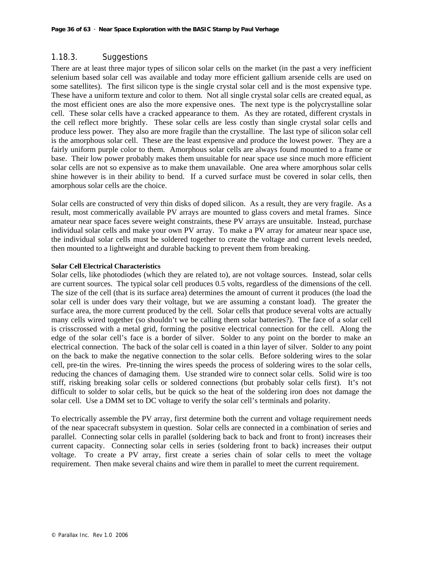### 1.18.3. Suggestions

There are at least three major types of silicon solar cells on the market (in the past a very inefficient selenium based solar cell was available and today more efficient gallium arsenide cells are used on some satellites). The first silicon type is the single crystal solar cell and is the most expensive type. These have a uniform texture and color to them. Not all single crystal solar cells are created equal, as the most efficient ones are also the more expensive ones. The next type is the polycrystalline solar cell. These solar cells have a cracked appearance to them. As they are rotated, different crystals in the cell reflect more brightly. These solar cells are less costly than single crystal solar cells and produce less power. They also are more fragile than the crystalline. The last type of silicon solar cell is the amorphous solar cell. These are the least expensive and produce the lowest power. They are a fairly uniform purple color to them. Amorphous solar cells are always found mounted to a frame or base. Their low power probably makes them unsuitable for near space use since much more efficient solar cells are not so expensive as to make them unavailable. One area where amorphous solar cells shine however is in their ability to bend. If a curved surface must be covered in solar cells, then amorphous solar cells are the choice.

Solar cells are constructed of very thin disks of doped silicon. As a result, they are very fragile. As a result, most commerically available PV arrays are mounted to glass covers and metal frames. Since amateur near space faces severe weight constraints, these PV arrays are unsuitable. Instead, purchase individual solar cells and make your own PV array. To make a PV array for amateur near space use, the individual solar cells must be soldered together to create the voltage and current levels needed, then mounted to a lightweight and durable backing to prevent them from breaking.

#### **Solar Cell Electrical Characteristics**

Solar cells, like photodiodes (which they are related to), are not voltage sources. Instead, solar cells are current sources. The typical solar cell produces 0.5 volts, regardless of the dimensions of the cell. The size of the cell (that is its surface area) determines the amount of current it produces (the load the solar cell is under does vary their voltage, but we are assuming a constant load). The greater the surface area, the more current produced by the cell. Solar cells that produce several volts are actually many cells wired together (so shouldn't we be calling them solar batteries?). The face of a solar cell is crisscrossed with a metal grid, forming the positive electrical connection for the cell. Along the edge of the solar cell's face is a border of silver. Solder to any point on the border to make an electrical connection. The back of the solar cell is coated in a thin layer of silver. Solder to any point on the back to make the negative connection to the solar cells. Before soldering wires to the solar cell, pre-tin the wires. Pre-tinning the wires speeds the process of soldering wires to the solar cells, reducing the chances of damaging them. Use stranded wire to connect solar cells. Solid wire is too stiff, risking breaking solar cells or soldered connections (but probably solar cells first). It's not difficult to solder to solar cells, but be quick so the heat of the soldering iron does not damage the solar cell. Use a DMM set to DC voltage to verify the solar cell's terminals and polarity.

To electrically assemble the PV array, first determine both the current and voltage requirement needs of the near spacecraft subsystem in question. Solar cells are connected in a combination of series and parallel. Connecting solar cells in parallel (soldering back to back and front to front) increases their current capacity. Connecting solar cells in series (soldering front to back) increases their output voltage. To create a PV array, first create a series chain of solar cells to meet the voltage requirement. Then make several chains and wire them in parallel to meet the current requirement.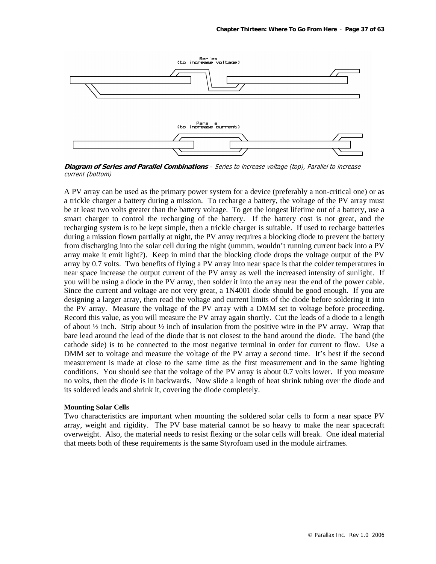

**Diagram of Series and Parallel Combinations** – Series to increase voltage (top), Parallel to increase current (bottom)

A PV array can be used as the primary power system for a device (preferably a non-critical one) or as a trickle charger a battery during a mission. To recharge a battery, the voltage of the PV array must be at least two volts greater than the battery voltage. To get the longest lifetime out of a battery, use a smart charger to control the recharging of the battery. If the battery cost is not great, and the recharging system is to be kept simple, then a trickle charger is suitable. If used to recharge batteries during a mission flown partially at night, the PV array requires a blocking diode to prevent the battery from discharging into the solar cell during the night (ummm, wouldn't running current back into a PV array make it emit light?). Keep in mind that the blocking diode drops the voltage output of the PV array by 0.7 volts. Two benefits of flying a PV array into near space is that the colder temperatures in near space increase the output current of the PV array as well the increased intensity of sunlight. If you will be using a diode in the PV array, then solder it into the array near the end of the power cable. Since the current and voltage are not very great, a 1N4001 diode should be good enough. If you are designing a larger array, then read the voltage and current limits of the diode before soldering it into the PV array. Measure the voltage of the PV array with a DMM set to voltage before proceeding. Record this value, as you will measure the PV array again shortly. Cut the leads of a diode to a length of about  $\frac{1}{2}$  inch. Strip about  $\frac{1}{2}$  inch of insulation from the positive wire in the PV array. Wrap that bare lead around the lead of the diode that is not closest to the band around the diode. The band (the cathode side) is to be connected to the most negative terminal in order for current to flow. Use a DMM set to voltage and measure the voltage of the PV array a second time. It's best if the second measurement is made at close to the same time as the first measurement and in the same lighting conditions. You should see that the voltage of the PV array is about 0.7 volts lower. If you measure no volts, then the diode is in backwards. Now slide a length of heat shrink tubing over the diode and its soldered leads and shrink it, covering the diode completely.

#### **Mounting Solar Cells**

Two characteristics are important when mounting the soldered solar cells to form a near space PV array, weight and rigidity. The PV base material cannot be so heavy to make the near spacecraft overweight. Also, the material needs to resist flexing or the solar cells will break. One ideal material that meets both of these requirements is the same Styrofoam used in the module airframes.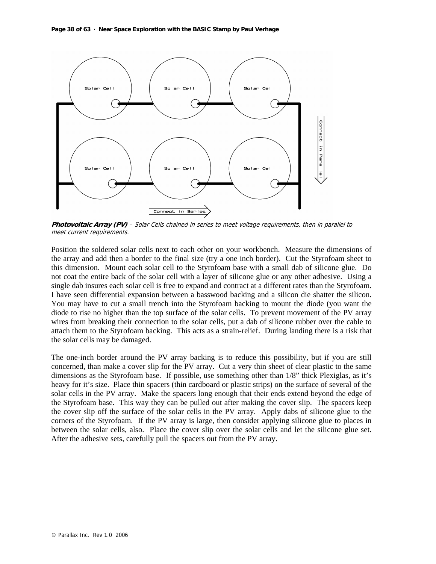

**Photovoltaic Array (PV)** – Solar Cells chained in series to meet voltage requirements, then in parallel to meet current requirements.

Position the soldered solar cells next to each other on your workbench. Measure the dimensions of the array and add then a border to the final size (try a one inch border). Cut the Styrofoam sheet to this dimension. Mount each solar cell to the Styrofoam base with a small dab of silicone glue. Do not coat the entire back of the solar cell with a layer of silicone glue or any other adhesive. Using a single dab insures each solar cell is free to expand and contract at a different rates than the Styrofoam. I have seen differential expansion between a basswood backing and a silicon die shatter the silicon. You may have to cut a small trench into the Styrofoam backing to mount the diode (you want the diode to rise no higher than the top surface of the solar cells. To prevent movement of the PV array wires from breaking their connection to the solar cells, put a dab of silicone rubber over the cable to attach them to the Styrofoam backing. This acts as a strain-relief. During landing there is a risk that the solar cells may be damaged.

The one-inch border around the PV array backing is to reduce this possibility, but if you are still concerned, than make a cover slip for the PV array. Cut a very thin sheet of clear plastic to the same dimensions as the Styrofoam base. If possible, use something other than 1/8" thick Plexiglas, as it's heavy for it's size. Place thin spacers (thin cardboard or plastic strips) on the surface of several of the solar cells in the PV array. Make the spacers long enough that their ends extend beyond the edge of the Styrofoam base. This way they can be pulled out after making the cover slip. The spacers keep the cover slip off the surface of the solar cells in the PV array. Apply dabs of silicone glue to the corners of the Styrofoam. If the PV array is large, then consider applying silicone glue to places in between the solar cells, also. Place the cover slip over the solar cells and let the silicone glue set. After the adhesive sets, carefully pull the spacers out from the PV array.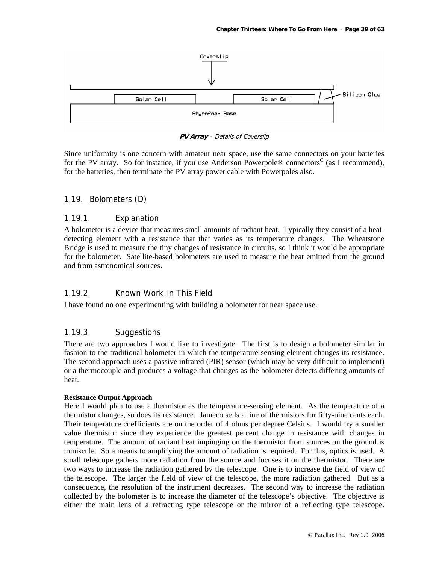

**PV Array** – Details of Coverslip

Since uniformity is one concern with amateur near space, use the same connectors on your batteries for the PV array. So for instance, if you use Anderson Powerpole® connectors<sup>C</sup> (as I recommend), for the batteries, then terminate the PV array power cable with Powerpoles also.

### 1.19. Bolometers (D)

### 1.19.1. Explanation

A bolometer is a device that measures small amounts of radiant heat. Typically they consist of a heatdetecting element with a resistance that that varies as its temperature changes. The Wheatstone Bridge is used to measure the tiny changes of resistance in circuits, so I think it would be appropriate for the bolometer. Satellite-based bolometers are used to measure the heat emitted from the ground and from astronomical sources.

### 1.19.2. Known Work In This Field

I have found no one experimenting with building a bolometer for near space use.

### 1.19.3. Suggestions

There are two approaches I would like to investigate. The first is to design a bolometer similar in fashion to the traditional bolometer in which the temperature-sensing element changes its resistance. The second approach uses a passive infrared (PIR) sensor (which may be very difficult to implement) or a thermocouple and produces a voltage that changes as the bolometer detects differing amounts of heat.

#### **Resistance Output Approach**

Here I would plan to use a thermistor as the temperature-sensing element. As the temperature of a thermistor changes, so does its resistance. Jameco sells a line of thermistors for fifty-nine cents each. Their temperature coefficients are on the order of 4 ohms per degree Celsius. I would try a smaller value thermistor since they experience the greatest percent change in resistance with changes in temperature. The amount of radiant heat impinging on the thermistor from sources on the ground is miniscule. So a means to amplifying the amount of radiation is required. For this, optics is used. A small telescope gathers more radiation from the source and focuses it on the thermistor. There are two ways to increase the radiation gathered by the telescope. One is to increase the field of view of the telescope. The larger the field of view of the telescope, the more radiation gathered. But as a consequence, the resolution of the instrument decreases. The second way to increase the radiation collected by the bolometer is to increase the diameter of the telescope's objective. The objective is either the main lens of a refracting type telescope or the mirror of a reflecting type telescope.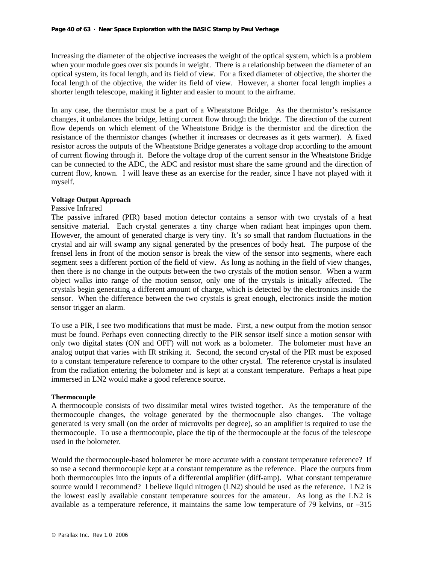Increasing the diameter of the objective increases the weight of the optical system, which is a problem when your module goes over six pounds in weight. There is a relationship between the diameter of an optical system, its focal length, and its field of view. For a fixed diameter of objective, the shorter the focal length of the objective, the wider its field of view. However, a shorter focal length implies a shorter length telescope, making it lighter and easier to mount to the airframe.

In any case, the thermistor must be a part of a Wheatstone Bridge. As the thermistor's resistance changes, it unbalances the bridge, letting current flow through the bridge. The direction of the current flow depends on which element of the Wheatstone Bridge is the thermistor and the direction the resistance of the thermistor changes (whether it increases or decreases as it gets warmer). A fixed resistor across the outputs of the Wheatstone Bridge generates a voltage drop according to the amount of current flowing through it. Before the voltage drop of the current sensor in the Wheatstone Bridge can be connected to the ADC, the ADC and resistor must share the same ground and the direction of current flow, known. I will leave these as an exercise for the reader, since I have not played with it myself.

#### **Voltage Output Approach**

#### Passive Infrared

The passive infrared (PIR) based motion detector contains a sensor with two crystals of a heat sensitive material. Each crystal generates a tiny charge when radiant heat impinges upon them. However, the amount of generated charge is very tiny. It's so small that random fluctuations in the crystal and air will swamp any signal generated by the presences of body heat. The purpose of the frensel lens in front of the motion sensor is break the view of the sensor into segments, where each segment sees a different portion of the field of view. As long as nothing in the field of view changes, then there is no change in the outputs between the two crystals of the motion sensor. When a warm object walks into range of the motion sensor, only one of the crystals is initially affected. The crystals begin generating a different amount of charge, which is detected by the electronics inside the sensor. When the difference between the two crystals is great enough, electronics inside the motion sensor trigger an alarm.

To use a PIR, I see two modifications that must be made. First, a new output from the motion sensor must be found. Perhaps even connecting directly to the PIR sensor itself since a motion sensor with only two digital states (ON and OFF) will not work as a bolometer. The bolometer must have an analog output that varies with IR striking it. Second, the second crystal of the PIR must be exposed to a constant temperature reference to compare to the other crystal. The reference crystal is insulated from the radiation entering the bolometer and is kept at a constant temperature. Perhaps a heat pipe immersed in LN2 would make a good reference source.

#### **Thermocouple**

A thermocouple consists of two dissimilar metal wires twisted together. As the temperature of the thermocouple changes, the voltage generated by the thermocouple also changes. The voltage generated is very small (on the order of microvolts per degree), so an amplifier is required to use the thermocouple. To use a thermocouple, place the tip of the thermocouple at the focus of the telescope used in the bolometer.

Would the thermocouple-based bolometer be more accurate with a constant temperature reference? If so use a second thermocouple kept at a constant temperature as the reference. Place the outputs from both thermocouples into the inputs of a differential amplifier (diff-amp). What constant temperature source would I recommend? I believe liquid nitrogen (LN2) should be used as the reference. LN2 is the lowest easily available constant temperature sources for the amateur. As long as the LN2 is available as a temperature reference, it maintains the same low temperature of 79 kelvins, or –315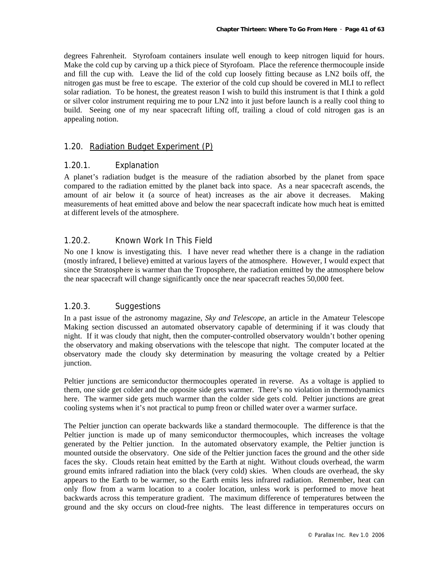degrees Fahrenheit. Styrofoam containers insulate well enough to keep nitrogen liquid for hours. Make the cold cup by carving up a thick piece of Styrofoam. Place the reference thermocouple inside and fill the cup with. Leave the lid of the cold cup loosely fitting because as LN2 boils off, the nitrogen gas must be free to escape. The exterior of the cold cup should be covered in MLI to reflect solar radiation. To be honest, the greatest reason I wish to build this instrument is that I think a gold or silver color instrument requiring me to pour LN2 into it just before launch is a really cool thing to build. Seeing one of my near spacecraft lifting off, trailing a cloud of cold nitrogen gas is an appealing notion.

### 1.20. Radiation Budget Experiment (P)

### 1.20.1. Explanation

A planet's radiation budget is the measure of the radiation absorbed by the planet from space compared to the radiation emitted by the planet back into space. As a near spacecraft ascends, the amount of air below it (a source of heat) increases as the air above it decreases. Making measurements of heat emitted above and below the near spacecraft indicate how much heat is emitted at different levels of the atmosphere.

### 1.20.2. Known Work In This Field

No one I know is investigating this. I have never read whether there is a change in the radiation (mostly infrared, I believe) emitted at various layers of the atmosphere. However, I would expect that since the Stratosphere is warmer than the Troposphere, the radiation emitted by the atmosphere below the near spacecraft will change significantly once the near spacecraft reaches 50,000 feet.

### 1.20.3. Suggestions

In a past issue of the astronomy magazine, *Sky and Telescope*, an article in the Amateur Telescope Making section discussed an automated observatory capable of determining if it was cloudy that night. If it was cloudy that night, then the computer-controlled observatory wouldn't bother opening the observatory and making observations with the telescope that night. The computer located at the observatory made the cloudy sky determination by measuring the voltage created by a Peltier junction.

Peltier junctions are semiconductor thermocouples operated in reverse. As a voltage is applied to them, one side get colder and the opposite side gets warmer. There's no violation in thermodynamics here. The warmer side gets much warmer than the colder side gets cold. Peltier junctions are great cooling systems when it's not practical to pump freon or chilled water over a warmer surface.

The Peltier junction can operate backwards like a standard thermocouple. The difference is that the Peltier junction is made up of many semiconductor thermocouples, which increases the voltage generated by the Peltier junction. In the automated observatory example, the Peltier junction is mounted outside the observatory. One side of the Peltier junction faces the ground and the other side faces the sky. Clouds retain heat emitted by the Earth at night. Without clouds overhead, the warm ground emits infrared radiation into the black (very cold) skies. When clouds are overhead, the sky appears to the Earth to be warmer, so the Earth emits less infrared radiation. Remember, heat can only flow from a warm location to a cooler location, unless work is performed to move heat backwards across this temperature gradient. The maximum difference of temperatures between the ground and the sky occurs on cloud-free nights. The least difference in temperatures occurs on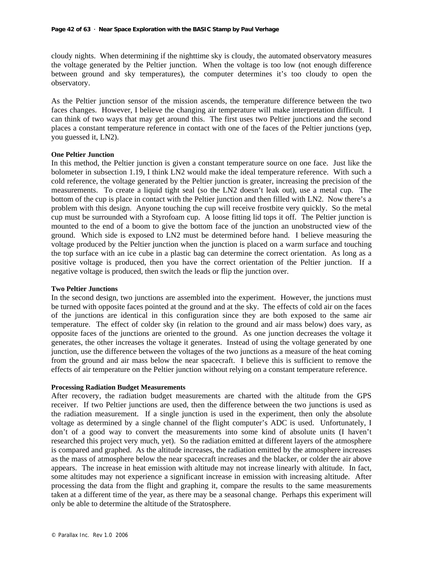cloudy nights. When determining if the nighttime sky is cloudy, the automated observatory measures the voltage generated by the Peltier junction. When the voltage is too low (not enough difference between ground and sky temperatures), the computer determines it's too cloudy to open the observatory.

As the Peltier junction sensor of the mission ascends, the temperature difference between the two faces changes. However, I believe the changing air temperature will make interpretation difficult. I can think of two ways that may get around this. The first uses two Peltier junctions and the second places a constant temperature reference in contact with one of the faces of the Peltier junctions (yep, you guessed it, LN2).

#### **One Peltier Junction**

In this method, the Peltier junction is given a constant temperature source on one face. Just like the bolometer in subsection 1.19, I think LN2 would make the ideal temperature reference. With such a cold reference, the voltage generated by the Peltier junction is greater, increasing the precision of the measurements. To create a liquid tight seal (so the LN2 doesn't leak out), use a metal cup. The bottom of the cup is place in contact with the Peltier junction and then filled with LN2. Now there's a problem with this design. Anyone touching the cup will receive frostbite very quickly. So the metal cup must be surrounded with a Styrofoam cup. A loose fitting lid tops it off. The Peltier junction is mounted to the end of a boom to give the bottom face of the junction an unobstructed view of the ground. Which side is exposed to LN2 must be determined before hand. I believe measuring the voltage produced by the Peltier junction when the junction is placed on a warm surface and touching the top surface with an ice cube in a plastic bag can determine the correct orientation. As long as a positive voltage is produced, then you have the correct orientation of the Peltier junction. If a negative voltage is produced, then switch the leads or flip the junction over.

#### **Two Peltier Junctions**

In the second design, two junctions are assembled into the experiment. However, the junctions must be turned with opposite faces pointed at the ground and at the sky. The effects of cold air on the faces of the junctions are identical in this configuration since they are both exposed to the same air temperature. The effect of colder sky (in relation to the ground and air mass below) does vary, as opposite faces of the junctions are oriented to the ground. As one junction decreases the voltage it generates, the other increases the voltage it generates. Instead of using the voltage generated by one junction, use the difference between the voltages of the two junctions as a measure of the heat coming from the ground and air mass below the near spacecraft. I believe this is sufficient to remove the effects of air temperature on the Peltier junction without relying on a constant temperature reference.

#### **Processing Radiation Budget Measurements**

After recovery, the radiation budget measurements are charted with the altitude from the GPS receiver. If two Peltier junctions are used, then the difference between the two junctions is used as the radiation measurement. If a single junction is used in the experiment, then only the absolute voltage as determined by a single channel of the flight computer's ADC is used. Unfortunately, I don't of a good way to convert the measurements into some kind of absolute units (I haven't researched this project very much, yet). So the radiation emitted at different layers of the atmosphere is compared and graphed. As the altitude increases, the radiation emitted by the atmosphere increases as the mass of atmosphere below the near spacecraft increases and the blacker, or colder the air above appears. The increase in heat emission with altitude may not increase linearly with altitude. In fact, some altitudes may not experience a significant increase in emission with increasing altitude. After processing the data from the flight and graphing it, compare the results to the same measurements taken at a different time of the year, as there may be a seasonal change. Perhaps this experiment will only be able to determine the altitude of the Stratosphere.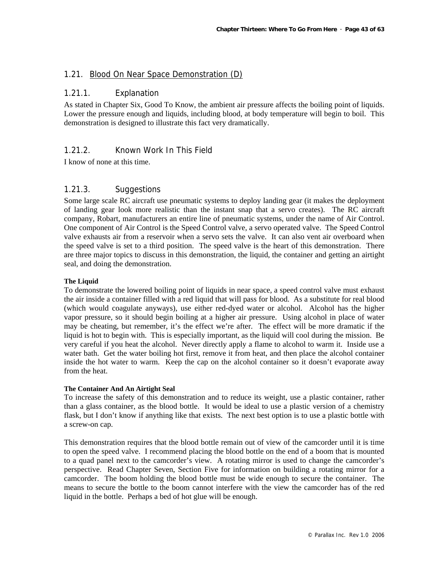### 1.21. Blood On Near Space Demonstration (D)

### 1.21.1. Explanation

As stated in Chapter Six, Good To Know, the ambient air pressure affects the boiling point of liquids. Lower the pressure enough and liquids, including blood, at body temperature will begin to boil. This demonstration is designed to illustrate this fact very dramatically.

### 1.21.2. Known Work In This Field

I know of none at this time.

### 1.21.3. Suggestions

Some large scale RC aircraft use pneumatic systems to deploy landing gear (it makes the deployment of landing gear look more realistic than the instant snap that a servo creates). The RC aircraft company, Robart, manufacturers an entire line of pneumatic systems, under the name of Air Control. One component of Air Control is the Speed Control valve, a servo operated valve. The Speed Control valve exhausts air from a reservoir when a servo sets the valve. It can also vent air overboard when the speed valve is set to a third position. The speed valve is the heart of this demonstration. There are three major topics to discuss in this demonstration, the liquid, the container and getting an airtight seal, and doing the demonstration.

#### **The Liquid**

To demonstrate the lowered boiling point of liquids in near space, a speed control valve must exhaust the air inside a container filled with a red liquid that will pass for blood. As a substitute for real blood (which would coagulate anyways), use either red-dyed water or alcohol. Alcohol has the higher vapor pressure, so it should begin boiling at a higher air pressure. Using alcohol in place of water may be cheating, but remember, it's the effect we're after. The effect will be more dramatic if the liquid is hot to begin with. This is especially important, as the liquid will cool during the mission. Be very careful if you heat the alcohol. Never directly apply a flame to alcohol to warm it. Inside use a water bath. Get the water boiling hot first, remove it from heat, and then place the alcohol container inside the hot water to warm. Keep the cap on the alcohol container so it doesn't evaporate away from the heat.

#### **The Container And An Airtight Seal**

To increase the safety of this demonstration and to reduce its weight, use a plastic container, rather than a glass container, as the blood bottle. It would be ideal to use a plastic version of a chemistry flask, but I don't know if anything like that exists. The next best option is to use a plastic bottle with a screw-on cap.

This demonstration requires that the blood bottle remain out of view of the camcorder until it is time to open the speed valve. I recommend placing the blood bottle on the end of a boom that is mounted to a quad panel next to the camcorder's view. A rotating mirror is used to change the camcorder's perspective. Read Chapter Seven, Section Five for information on building a rotating mirror for a camcorder. The boom holding the blood bottle must be wide enough to secure the container. The means to secure the bottle to the boom cannot interfere with the view the camcorder has of the red liquid in the bottle. Perhaps a bed of hot glue will be enough.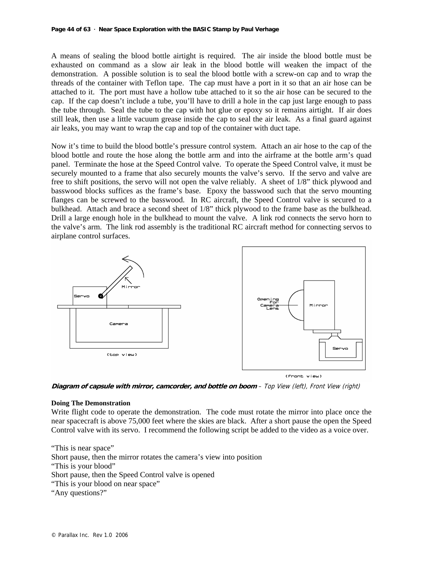A means of sealing the blood bottle airtight is required. The air inside the blood bottle must be exhausted on command as a slow air leak in the blood bottle will weaken the impact of the demonstration. A possible solution is to seal the blood bottle with a screw-on cap and to wrap the threads of the container with Teflon tape. The cap must have a port in it so that an air hose can be attached to it. The port must have a hollow tube attached to it so the air hose can be secured to the cap. If the cap doesn't include a tube, you'll have to drill a hole in the cap just large enough to pass the tube through. Seal the tube to the cap with hot glue or epoxy so it remains airtight. If air does still leak, then use a little vacuum grease inside the cap to seal the air leak. As a final guard against air leaks, you may want to wrap the cap and top of the container with duct tape.

Now it's time to build the blood bottle's pressure control system. Attach an air hose to the cap of the blood bottle and route the hose along the bottle arm and into the airframe at the bottle arm's quad panel. Terminate the hose at the Speed Control valve. To operate the Speed Control valve, it must be securely mounted to a frame that also securely mounts the valve's servo. If the servo and valve are free to shift positions, the servo will not open the valve reliably. A sheet of 1/8" thick plywood and basswood blocks suffices as the frame's base. Epoxy the basswood such that the servo mounting flanges can be screwed to the basswood. In RC aircraft, the Speed Control valve is secured to a bulkhead. Attach and brace a second sheet of 1/8" thick plywood to the frame base as the bulkhead. Drill a large enough hole in the bulkhead to mount the valve. A link rod connects the servo horn to the valve's arm. The link rod assembly is the traditional RC aircraft method for connecting servos to airplane control surfaces.



**Diagram of capsule with mirror, camcorder, and bottle on boom** – Top View (left), Front View (right)

#### **Doing The Demonstration**

Write flight code to operate the demonstration. The code must rotate the mirror into place once the near spacecraft is above 75,000 feet where the skies are black. After a short pause the open the Speed Control valve with its servo. I recommend the following script be added to the video as a voice over.

"This is near space" Short pause, then the mirror rotates the camera's view into position "This is your blood" Short pause, then the Speed Control valve is opened "This is your blood on near space" "Any questions?"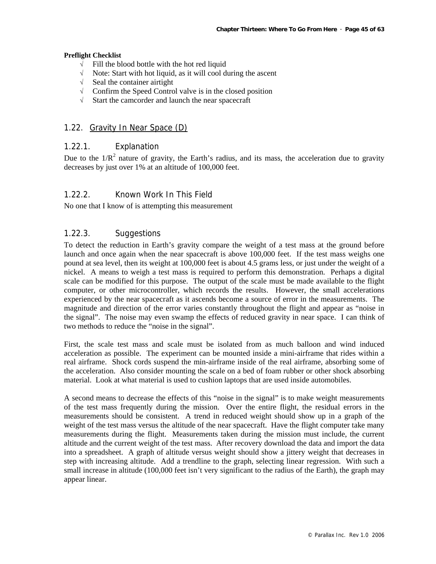#### **Preflight Checklist**

- √ Fill the blood bottle with the hot red liquid
- Note: Start with hot liquid, as it will cool during the ascent
- √ Seal the container airtight
- √ Confirm the Speed Control valve is in the closed position
- √ Start the camcorder and launch the near spacecraft

#### 1.22. Gravity In Near Space (D)

#### 1.22.1. Explanation

Due to the  $1/R<sup>2</sup>$  nature of gravity, the Earth's radius, and its mass, the acceleration due to gravity decreases by just over 1% at an altitude of 100,000 feet.

### 1.22.2. Known Work In This Field

No one that I know of is attempting this measurement

### 1.22.3. Suggestions

To detect the reduction in Earth's gravity compare the weight of a test mass at the ground before launch and once again when the near spacecraft is above 100,000 feet. If the test mass weighs one pound at sea level, then its weight at 100,000 feet is about 4.5 grams less, or just under the weight of a nickel. A means to weigh a test mass is required to perform this demonstration. Perhaps a digital scale can be modified for this purpose. The output of the scale must be made available to the flight computer, or other microcontroller, which records the results. However, the small accelerations experienced by the near spacecraft as it ascends become a source of error in the measurements. The magnitude and direction of the error varies constantly throughout the flight and appear as "noise in the signal". The noise may even swamp the effects of reduced gravity in near space. I can think of two methods to reduce the "noise in the signal".

First, the scale test mass and scale must be isolated from as much balloon and wind induced acceleration as possible. The experiment can be mounted inside a mini-airframe that rides within a real airframe. Shock cords suspend the min-airframe inside of the real airframe, absorbing some of the acceleration. Also consider mounting the scale on a bed of foam rubber or other shock absorbing material. Look at what material is used to cushion laptops that are used inside automobiles.

A second means to decrease the effects of this "noise in the signal" is to make weight measurements of the test mass frequently during the mission. Over the entire flight, the residual errors in the measurements should be consistent. A trend in reduced weight should show up in a graph of the weight of the test mass versus the altitude of the near spacecraft. Have the flight computer take many measurements during the flight. Measurements taken during the mission must include, the current altitude and the current weight of the test mass. After recovery download the data and import the data into a spreadsheet. A graph of altitude versus weight should show a jittery weight that decreases in step with increasing altitude. Add a trendline to the graph, selecting linear regression. With such a small increase in altitude (100,000 feet isn't very significant to the radius of the Earth), the graph may appear linear.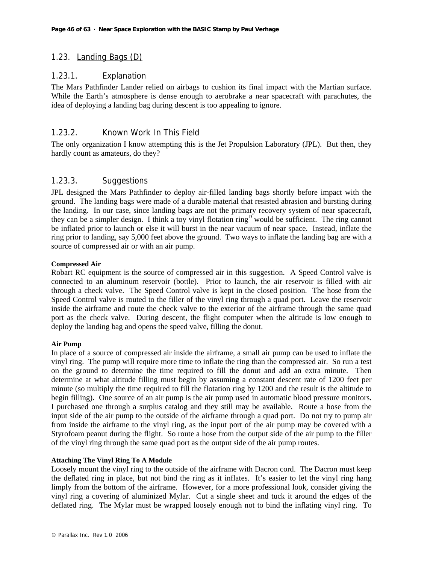### 1.23. Landing Bags (D)

### 1.23.1. Explanation

The Mars Pathfinder Lander relied on airbags to cushion its final impact with the Martian surface. While the Earth's atmosphere is dense enough to aerobrake a near spacecraft with parachutes, the idea of deploying a landing bag during descent is too appealing to ignore.

### 1.23.2. Known Work In This Field

The only organization I know attempting this is the Jet Propulsion Laboratory (JPL). But then, they hardly count as amateurs, do they?

### 1.23.3. Suggestions

JPL designed the Mars Pathfinder to deploy air-filled landing bags shortly before impact with the ground. The landing bags were made of a durable material that resisted abrasion and bursting during the landing. In our case, since landing bags are not the primary recovery system of near spacecraft, they can be a simpler design. I think a toy vinyl flotation  $\text{ring}^D$  would be sufficient. The ring cannot be inflated prior to launch or else it will burst in the near vacuum of near space. Instead, inflate the ring prior to landing, say 5,000 feet above the ground. Two ways to inflate the landing bag are with a source of compressed air or with an air pump.

#### **Compressed Air**

Robart RC equipment is the source of compressed air in this suggestion. A Speed Control valve is connected to an aluminum reservoir (bottle). Prior to launch, the air reservoir is filled with air through a check valve. The Speed Control valve is kept in the closed position. The hose from the Speed Control valve is routed to the filler of the vinyl ring through a quad port. Leave the reservoir inside the airframe and route the check valve to the exterior of the airframe through the same quad port as the check valve. During descent, the flight computer when the altitude is low enough to deploy the landing bag and opens the speed valve, filling the donut.

#### **Air Pump**

In place of a source of compressed air inside the airframe, a small air pump can be used to inflate the vinyl ring. The pump will require more time to inflate the ring than the compressed air. So run a test on the ground to determine the time required to fill the donut and add an extra minute. Then determine at what altitude filling must begin by assuming a constant descent rate of 1200 feet per minute (so multiply the time required to fill the flotation ring by 1200 and the result is the altitude to begin filling). One source of an air pump is the air pump used in automatic blood pressure monitors. I purchased one through a surplus catalog and they still may be available. Route a hose from the input side of the air pump to the outside of the airframe through a quad port. Do not try to pump air from inside the airframe to the vinyl ring, as the input port of the air pump may be covered with a Styrofoam peanut during the flight. So route a hose from the output side of the air pump to the filler of the vinyl ring through the same quad port as the output side of the air pump routes.

#### **Attaching The Vinyl Ring To A Module**

Loosely mount the vinyl ring to the outside of the airframe with Dacron cord. The Dacron must keep the deflated ring in place, but not bind the ring as it inflates. It's easier to let the vinyl ring hang limply from the bottom of the airframe. However, for a more professional look, consider giving the vinyl ring a covering of aluminized Mylar. Cut a single sheet and tuck it around the edges of the deflated ring. The Mylar must be wrapped loosely enough not to bind the inflating vinyl ring. To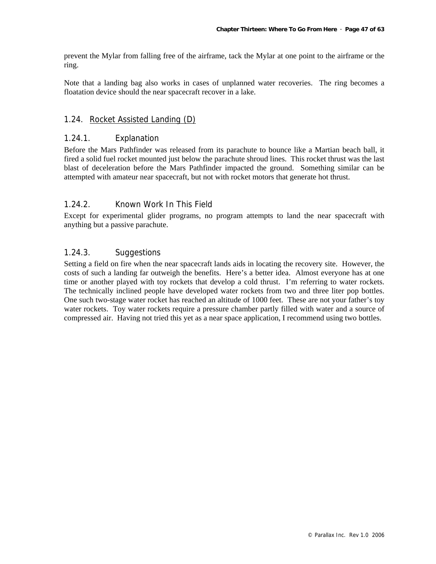prevent the Mylar from falling free of the airframe, tack the Mylar at one point to the airframe or the ring.

Note that a landing bag also works in cases of unplanned water recoveries. The ring becomes a floatation device should the near spacecraft recover in a lake.

### 1.24. Rocket Assisted Landing (D)

### 1.24.1. Explanation

Before the Mars Pathfinder was released from its parachute to bounce like a Martian beach ball, it fired a solid fuel rocket mounted just below the parachute shroud lines. This rocket thrust was the last blast of deceleration before the Mars Pathfinder impacted the ground. Something similar can be attempted with amateur near spacecraft, but not with rocket motors that generate hot thrust.

### 1.24.2. Known Work In This Field

Except for experimental glider programs, no program attempts to land the near spacecraft with anything but a passive parachute.

### 1.24.3. Suggestions

Setting a field on fire when the near spacecraft lands aids in locating the recovery site. However, the costs of such a landing far outweigh the benefits. Here's a better idea. Almost everyone has at one time or another played with toy rockets that develop a cold thrust. I'm referring to water rockets. The technically inclined people have developed water rockets from two and three liter pop bottles. One such two-stage water rocket has reached an altitude of 1000 feet. These are not your father's toy water rockets. Toy water rockets require a pressure chamber partly filled with water and a source of compressed air. Having not tried this yet as a near space application, I recommend using two bottles.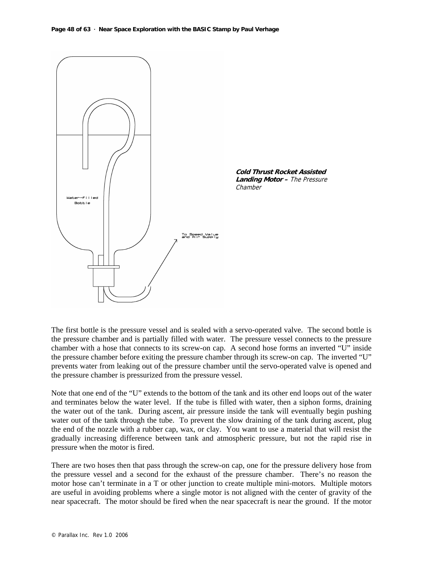

The first bottle is the pressure vessel and is sealed with a servo-operated valve. The second bottle is the pressure chamber and is partially filled with water. The pressure vessel connects to the pressure chamber with a hose that connects to its screw-on cap. A second hose forms an inverted "U" inside the pressure chamber before exiting the pressure chamber through its screw-on cap. The inverted "U" prevents water from leaking out of the pressure chamber until the servo-operated valve is opened and the pressure chamber is pressurized from the pressure vessel.

Note that one end of the "U" extends to the bottom of the tank and its other end loops out of the water and terminates below the water level. If the tube is filled with water, then a siphon forms, draining the water out of the tank. During ascent, air pressure inside the tank will eventually begin pushing water out of the tank through the tube. To prevent the slow draining of the tank during ascent, plug the end of the nozzle with a rubber cap, wax, or clay. You want to use a material that will resist the gradually increasing difference between tank and atmospheric pressure, but not the rapid rise in pressure when the motor is fired.

There are two hoses then that pass through the screw-on cap, one for the pressure delivery hose from the pressure vessel and a second for the exhaust of the pressure chamber. There's no reason the motor hose can't terminate in a T or other junction to create multiple mini-motors. Multiple motors are useful in avoiding problems where a single motor is not aligned with the center of gravity of the near spacecraft. The motor should be fired when the near spacecraft is near the ground. If the motor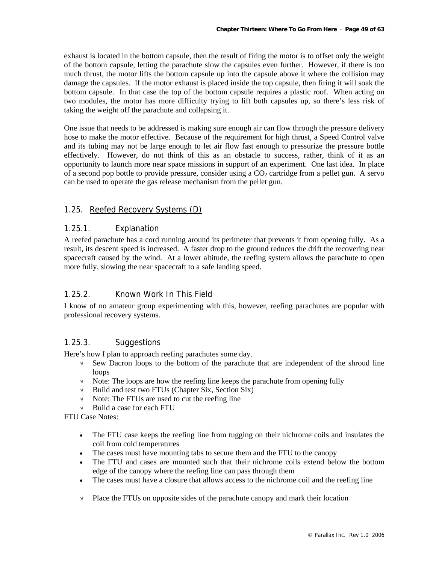exhaust is located in the bottom capsule, then the result of firing the motor is to offset only the weight of the bottom capsule, letting the parachute slow the capsules even further. However, if there is too much thrust, the motor lifts the bottom capsule up into the capsule above it where the collision may damage the capsules. If the motor exhaust is placed inside the top capsule, then firing it will soak the bottom capsule. In that case the top of the bottom capsule requires a plastic roof. When acting on two modules, the motor has more difficulty trying to lift both capsules up, so there's less risk of taking the weight off the parachute and collapsing it.

One issue that needs to be addressed is making sure enough air can flow through the pressure delivery hose to make the motor effective. Because of the requirement for high thrust, a Speed Control valve and its tubing may not be large enough to let air flow fast enough to pressurize the pressure bottle effectively. However, do not think of this as an obstacle to success, rather, think of it as an opportunity to launch more near space missions in support of an experiment. One last idea. In place of a second pop bottle to provide pressure, consider using a  $CO<sub>2</sub>$  cartridge from a pellet gun. A servo can be used to operate the gas release mechanism from the pellet gun.

### 1.25. Reefed Recovery Systems (D)

### 1.25.1. Explanation

A reefed parachute has a cord running around its perimeter that prevents it from opening fully. As a result, its descent speed is increased. A faster drop to the ground reduces the drift the recovering near spacecraft caused by the wind. At a lower altitude, the reefing system allows the parachute to open more fully, slowing the near spacecraft to a safe landing speed.

### 1.25.2. Known Work In This Field

I know of no amateur group experimenting with this, however, reefing parachutes are popular with professional recovery systems.

### 1.25.3. Suggestions

Here's how I plan to approach reefing parachutes some day.

- $\sqrt{\ }$  Sew Dacron loops to the bottom of the parachute that are independent of the shroud line loops
- $\sqrt{\phantom{a}}$  Note: The loops are how the reefing line keeps the parachute from opening fully
- √ Build and test two FTUs (Chapter Six, Section Six)
- $\sqrt{\phantom{a}}$  Note: The FTUs are used to cut the reefing line
- √ Build a case for each FTU

FTU Case Notes:

- The FTU case keeps the reefing line from tugging on their nichrome coils and insulates the coil from cold temperatures
- The cases must have mounting tabs to secure them and the FTU to the canopy
- The FTU and cases are mounted such that their nichrome coils extend below the bottom edge of the canopy where the reefing line can pass through them
- The cases must have a closure that allows access to the nichrome coil and the reefing line
- $\sqrt{\phantom{a}}$  Place the FTUs on opposite sides of the parachute canopy and mark their location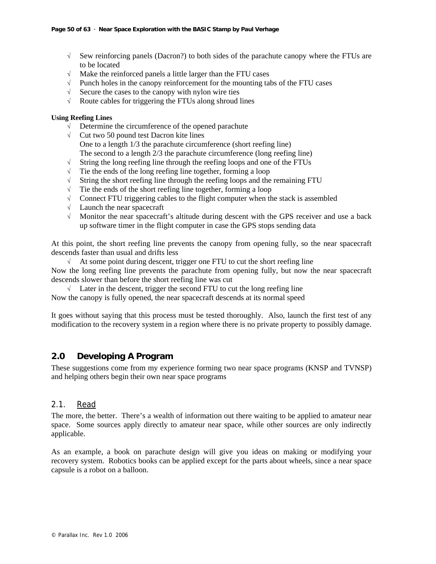- $\sqrt{\phantom{a}}$  Sew reinforcing panels (Dacron?) to both sides of the parachute canopy where the FTUs are to be located
- $\sqrt{\phantom{a}}$  Make the reinforced panels a little larger than the FTU cases
- $\sqrt{\phantom{a}}$  Punch holes in the canopy reinforcement for the mounting tabs of the FTU cases
- $\sqrt{\phantom{a}}$  Secure the cases to the canopy with nylon wire ties
- $\sqrt{\phantom{a}}$  Route cables for triggering the FTUs along shroud lines

#### **Using Reefing Lines**

- √ Determine the circumference of the opened parachute
- $\sqrt{\phantom{a}}$  Cut two 50 pound test Dacron kite lines One to a length 1/3 the parachute circumference (short reefing line) The second to a length 2/3 the parachute circumference (long reefing line)
- $\sqrt{\phantom{a}}$  String the long reefing line through the reefing loops and one of the FTUs
- $\sqrt{\phantom{a}}$  Tie the ends of the long reefing line together, forming a loop
- $\sqrt{\phantom{a}}$  String the short reefing line through the reefing loops and the remaining FTU
- $\sqrt{\phantom{a}}$  Tie the ends of the short reefing line together, forming a loop
- √ Connect FTU triggering cables to the flight computer when the stack is assembled
- √ Launch the near spacecraft
- $\sqrt{\phantom{a}}$  Monitor the near spacecraft's altitude during descent with the GPS receiver and use a back up software timer in the flight computer in case the GPS stops sending data

At this point, the short reefing line prevents the canopy from opening fully, so the near spacecraft descends faster than usual and drifts less

 $\sqrt{\phantom{a}}$  At some point during descent, trigger one FTU to cut the short reefing line Now the long reefing line prevents the parachute from opening fully, but now the near spacecraft descends slower than before the short reefing line was cut

 $\sqrt{\phantom{a}}$  Later in the descent, trigger the second FTU to cut the long reefing line Now the canopy is fully opened, the near spacecraft descends at its normal speed

It goes without saying that this process must be tested thoroughly. Also, launch the first test of any modification to the recovery system in a region where there is no private property to possibly damage.

### **2.0 Developing A Program**

These suggestions come from my experience forming two near space programs (KNSP and TVNSP) and helping others begin their own near space programs

### 2.1. Read

The more, the better. There's a wealth of information out there waiting to be applied to amateur near space. Some sources apply directly to amateur near space, while other sources are only indirectly applicable.

As an example, a book on parachute design will give you ideas on making or modifying your recovery system. Robotics books can be applied except for the parts about wheels, since a near space capsule is a robot on a balloon.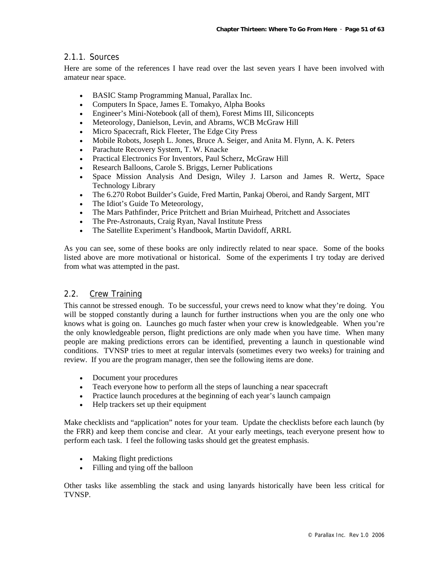### 2.1.1. Sources

Here are some of the references I have read over the last seven years I have been involved with amateur near space.

- BASIC Stamp Programming Manual, Parallax Inc.
- Computers In Space, James E. Tomakyo, Alpha Books
- Engineer's Mini-Notebook (all of them), Forest Mims III, Siliconcepts
- Meteorology, Danielson, Levin, and Abrams, WCB McGraw Hill
- Micro Spacecraft, Rick Fleeter, The Edge City Press
- Mobile Robots, Joseph L. Jones, Bruce A. Seiger, and Anita M. Flynn, A. K. Peters
- Parachute Recovery System, T. W. Knacke
- Practical Electronics For Inventors, Paul Scherz, McGraw Hill
- Research Balloons, Carole S. Briggs, Lerner Publications
- Space Mission Analysis And Design, Wiley J. Larson and James R. Wertz, Space Technology Library
- The 6.270 Robot Builder's Guide, Fred Martin, Pankaj Oberoi, and Randy Sargent, MIT
- The Idiot's Guide To Meteorology,
- The Mars Pathfinder, Price Pritchett and Brian Muirhead, Pritchett and Associates
- The Pre-Astronauts, Craig Ryan, Naval Institute Press
- The Satellite Experiment's Handbook, Martin Davidoff, ARRL

As you can see, some of these books are only indirectly related to near space. Some of the books listed above are more motivational or historical. Some of the experiments I try today are derived from what was attempted in the past.

### 2.2. Crew Training

This cannot be stressed enough. To be successful, your crews need to know what they're doing. You will be stopped constantly during a launch for further instructions when you are the only one who knows what is going on. Launches go much faster when your crew is knowledgeable. When you're the only knowledgeable person, flight predictions are only made when you have time. When many people are making predictions errors can be identified, preventing a launch in questionable wind conditions. TVNSP tries to meet at regular intervals (sometimes every two weeks) for training and review. If you are the program manager, then see the following items are done.

- Document your procedures
- Teach everyone how to perform all the steps of launching a near spacecraft
- Practice launch procedures at the beginning of each year's launch campaign
- Help trackers set up their equipment

Make checklists and "application" notes for your team. Update the checklists before each launch (by the FRR) and keep them concise and clear. At your early meetings, teach everyone present how to perform each task. I feel the following tasks should get the greatest emphasis.

- Making flight predictions
- Filling and tying off the balloon

Other tasks like assembling the stack and using lanyards historically have been less critical for TVNSP.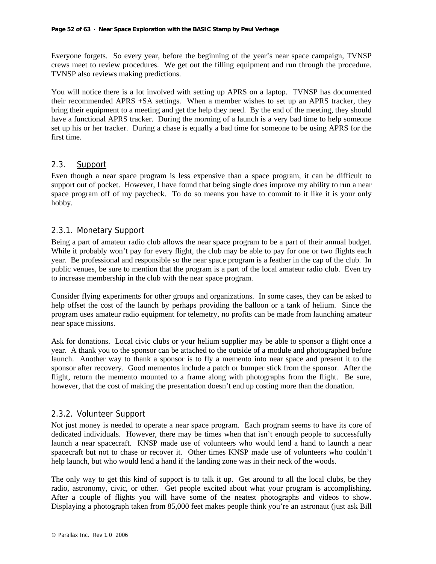Everyone forgets. So every year, before the beginning of the year's near space campaign, TVNSP crews meet to review procedures. We get out the filling equipment and run through the procedure. TVNSP also reviews making predictions.

You will notice there is a lot involved with setting up APRS on a laptop. TVNSP has documented their recommended APRS +SA settings. When a member wishes to set up an APRS tracker, they bring their equipment to a meeting and get the help they need. By the end of the meeting, they should have a functional APRS tracker. During the morning of a launch is a very bad time to help someone set up his or her tracker. During a chase is equally a bad time for someone to be using APRS for the first time.

### 2.3. Support

Even though a near space program is less expensive than a space program, it can be difficult to support out of pocket. However, I have found that being single does improve my ability to run a near space program off of my paycheck. To do so means you have to commit to it like it is your only hobby.

### 2.3.1. Monetary Support

Being a part of amateur radio club allows the near space program to be a part of their annual budget. While it probably won't pay for every flight, the club may be able to pay for one or two flights each year. Be professional and responsible so the near space program is a feather in the cap of the club. In public venues, be sure to mention that the program is a part of the local amateur radio club. Even try to increase membership in the club with the near space program.

Consider flying experiments for other groups and organizations. In some cases, they can be asked to help offset the cost of the launch by perhaps providing the balloon or a tank of helium. Since the program uses amateur radio equipment for telemetry, no profits can be made from launching amateur near space missions.

Ask for donations. Local civic clubs or your helium supplier may be able to sponsor a flight once a year. A thank you to the sponsor can be attached to the outside of a module and photographed before launch. Another way to thank a sponsor is to fly a memento into near space and present it to the sponsor after recovery. Good mementos include a patch or bumper stick from the sponsor. After the flight, return the memento mounted to a frame along with photographs from the flight. Be sure, however, that the cost of making the presentation doesn't end up costing more than the donation.

### 2.3.2. Volunteer Support

Not just money is needed to operate a near space program. Each program seems to have its core of dedicated individuals. However, there may be times when that isn't enough people to successfully launch a near spacecraft. KNSP made use of volunteers who would lend a hand to launch a near spacecraft but not to chase or recover it. Other times KNSP made use of volunteers who couldn't help launch, but who would lend a hand if the landing zone was in their neck of the woods.

The only way to get this kind of support is to talk it up. Get around to all the local clubs, be they radio, astronomy, civic, or other. Get people excited about what your program is accomplishing. After a couple of flights you will have some of the neatest photographs and videos to show. Displaying a photograph taken from 85,000 feet makes people think you're an astronaut (just ask Bill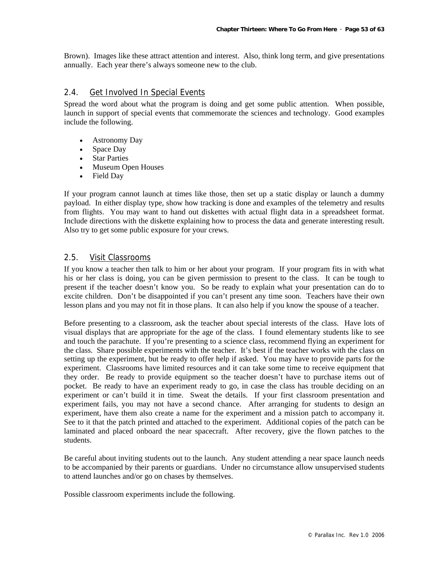Brown). Images like these attract attention and interest. Also, think long term, and give presentations annually. Each year there's always someone new to the club.

#### 2.4. Get Involved In Special Events

Spread the word about what the program is doing and get some public attention. When possible, launch in support of special events that commemorate the sciences and technology. Good examples include the following.

- Astronomy Day
- Space Day
- Star Parties
- Museum Open Houses
- Field Day

If your program cannot launch at times like those, then set up a static display or launch a dummy payload. In either display type, show how tracking is done and examples of the telemetry and results from flights. You may want to hand out diskettes with actual flight data in a spreadsheet format. Include directions with the diskette explaining how to process the data and generate interesting result. Also try to get some public exposure for your crews.

#### 2.5. Visit Classrooms

If you know a teacher then talk to him or her about your program. If your program fits in with what his or her class is doing, you can be given permission to present to the class. It can be tough to present if the teacher doesn't know you. So be ready to explain what your presentation can do to excite children. Don't be disappointed if you can't present any time soon. Teachers have their own lesson plans and you may not fit in those plans. It can also help if you know the spouse of a teacher.

Before presenting to a classroom, ask the teacher about special interests of the class. Have lots of visual displays that are appropriate for the age of the class. I found elementary students like to see and touch the parachute. If you're presenting to a science class, recommend flying an experiment for the class. Share possible experiments with the teacher. It's best if the teacher works with the class on setting up the experiment, but be ready to offer help if asked. You may have to provide parts for the experiment. Classrooms have limited resources and it can take some time to receive equipment that they order. Be ready to provide equipment so the teacher doesn't have to purchase items out of pocket. Be ready to have an experiment ready to go, in case the class has trouble deciding on an experiment or can't build it in time. Sweat the details. If your first classroom presentation and experiment fails, you may not have a second chance. After arranging for students to design an experiment, have them also create a name for the experiment and a mission patch to accompany it. See to it that the patch printed and attached to the experiment. Additional copies of the patch can be laminated and placed onboard the near spacecraft. After recovery, give the flown patches to the students.

Be careful about inviting students out to the launch. Any student attending a near space launch needs to be accompanied by their parents or guardians. Under no circumstance allow unsupervised students to attend launches and/or go on chases by themselves.

Possible classroom experiments include the following.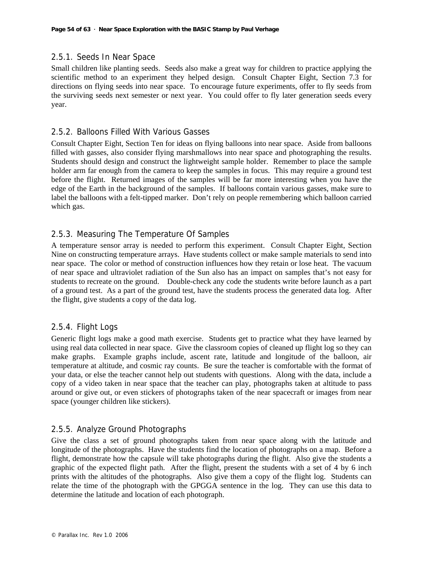### 2.5.1. Seeds In Near Space

Small children like planting seeds. Seeds also make a great way for children to practice applying the scientific method to an experiment they helped design. Consult Chapter Eight, Section 7.3 for directions on flying seeds into near space. To encourage future experiments, offer to fly seeds from the surviving seeds next semester or next year. You could offer to fly later generation seeds every year.

### 2.5.2. Balloons Filled With Various Gasses

Consult Chapter Eight, Section Ten for ideas on flying balloons into near space. Aside from balloons filled with gasses, also consider flying marshmallows into near space and photographing the results. Students should design and construct the lightweight sample holder. Remember to place the sample holder arm far enough from the camera to keep the samples in focus. This may require a ground test before the flight. Returned images of the samples will be far more interesting when you have the edge of the Earth in the background of the samples. If balloons contain various gasses, make sure to label the balloons with a felt-tipped marker. Don't rely on people remembering which balloon carried which gas.

### 2.5.3. Measuring The Temperature Of Samples

A temperature sensor array is needed to perform this experiment. Consult Chapter Eight, Section Nine on constructing temperature arrays. Have students collect or make sample materials to send into near space. The color or method of construction influences how they retain or lose heat. The vacuum of near space and ultraviolet radiation of the Sun also has an impact on samples that's not easy for students to recreate on the ground. Double-check any code the students write before launch as a part of a ground test. As a part of the ground test, have the students process the generated data log. After the flight, give students a copy of the data log.

### 2.5.4. Flight Logs

Generic flight logs make a good math exercise. Students get to practice what they have learned by using real data collected in near space. Give the classroom copies of cleaned up flight log so they can make graphs. Example graphs include, ascent rate, latitude and longitude of the balloon, air temperature at altitude, and cosmic ray counts. Be sure the teacher is comfortable with the format of your data, or else the teacher cannot help out students with questions. Along with the data, include a copy of a video taken in near space that the teacher can play, photographs taken at altitude to pass around or give out, or even stickers of photographs taken of the near spacecraft or images from near space (younger children like stickers).

### 2.5.5. Analyze Ground Photographs

Give the class a set of ground photographs taken from near space along with the latitude and longitude of the photographs. Have the students find the location of photographs on a map. Before a flight, demonstrate how the capsule will take photographs during the flight. Also give the students a graphic of the expected flight path. After the flight, present the students with a set of 4 by 6 inch prints with the altitudes of the photographs. Also give them a copy of the flight log. Students can relate the time of the photograph with the GPGGA sentence in the log. They can use this data to determine the latitude and location of each photograph.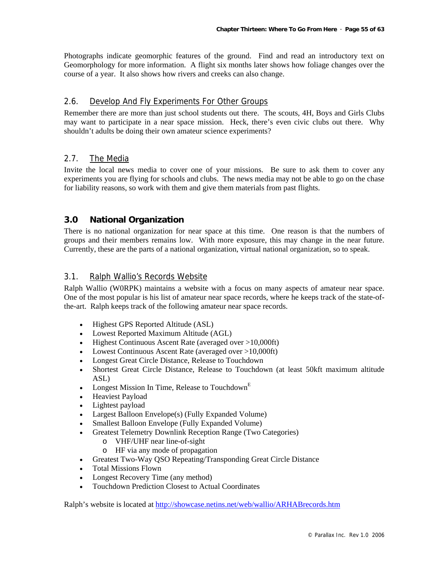Photographs indicate geomorphic features of the ground. Find and read an introductory text on Geomorphology for more information. A flight six months later shows how foliage changes over the course of a year. It also shows how rivers and creeks can also change.

### 2.6. Develop And Fly Experiments For Other Groups

Remember there are more than just school students out there. The scouts, 4H, Boys and Girls Clubs may want to participate in a near space mission. Heck, there's even civic clubs out there. Why shouldn't adults be doing their own amateur science experiments?

### 2.7. The Media

Invite the local news media to cover one of your missions. Be sure to ask them to cover any experiments you are flying for schools and clubs. The news media may not be able to go on the chase for liability reasons, so work with them and give them materials from past flights.

### **3.0 National Organization**

There is no national organization for near space at this time. One reason is that the numbers of groups and their members remains low. With more exposure, this may change in the near future. Currently, these are the parts of a national organization, virtual national organization, so to speak.

### 3.1. Ralph Wallio's Records Website

Ralph Wallio (W0RPK) maintains a website with a focus on many aspects of amateur near space. One of the most popular is his list of amateur near space records, where he keeps track of the state-ofthe-art. Ralph keeps track of the following amateur near space records.

- Highest GPS Reported Altitude (ASL)
- Lowest Reported Maximum Altitude (AGL)
- Highest Continuous Ascent Rate (averaged over >10,000ft)
- Lowest Continuous Ascent Rate (averaged over >10,000ft)
- Longest Great Circle Distance, Release to Touchdown
- Shortest Great Circle Distance, Release to Touchdown (at least 50kft maximum altitude ASL)
- Longest Mission In Time, Release to Touchdown<sup>E</sup>
- Heaviest Payload
- Lightest payload
- Largest Balloon Envelope(s) (Fully Expanded Volume)
- Smallest Balloon Envelope (Fully Expanded Volume)
- Greatest Telemetry Downlink Reception Range (Two Categories)
	- o VHF/UHF near line-of-sight
	- o HF via any mode of propagation
- Greatest Two-Way QSO Repeating/Transponding Great Circle Distance
- Total Missions Flown
- Longest Recovery Time (any method)
- Touchdown Prediction Closest to Actual Coordinates

Ralph's website is located at http://showcase.netins.net/web/wallio/ARHABrecords.htm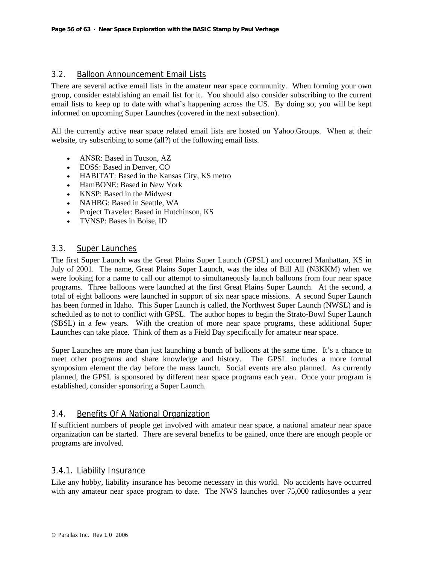### 3.2. Balloon Announcement Email Lists

There are several active email lists in the amateur near space community. When forming your own group, consider establishing an email list for it. You should also consider subscribing to the current email lists to keep up to date with what's happening across the US. By doing so, you will be kept informed on upcoming Super Launches (covered in the next subsection).

All the currently active near space related email lists are hosted on Yahoo.Groups. When at their website, try subscribing to some (all?) of the following email lists.

- ANSR: Based in Tucson, AZ
- EOSS: Based in Denver, CO
- HABITAT: Based in the Kansas City, KS metro
- HamBONE: Based in New York
- KNSP: Based in the Midwest
- NAHBG: Based in Seattle, WA
- Project Traveler: Based in Hutchinson, KS
- TVNSP: Bases in Boise, ID

#### 3.3. Super Launches

The first Super Launch was the Great Plains Super Launch (GPSL) and occurred Manhattan, KS in July of 2001. The name, Great Plains Super Launch, was the idea of Bill All (N3KKM) when we were looking for a name to call our attempt to simultaneously launch balloons from four near space programs. Three balloons were launched at the first Great Plains Super Launch. At the second, a total of eight balloons were launched in support of six near space missions. A second Super Launch has been formed in Idaho. This Super Launch is called, the Northwest Super Launch (NWSL) and is scheduled as to not to conflict with GPSL. The author hopes to begin the Strato-Bowl Super Launch (SBSL) in a few years. With the creation of more near space programs, these additional Super Launches can take place. Think of them as a Field Day specifically for amateur near space.

Super Launches are more than just launching a bunch of balloons at the same time. It's a chance to meet other programs and share knowledge and history. The GPSL includes a more formal symposium element the day before the mass launch. Social events are also planned. As currently planned, the GPSL is sponsored by different near space programs each year. Once your program is established, consider sponsoring a Super Launch.

### 3.4. Benefits Of A National Organization

If sufficient numbers of people get involved with amateur near space, a national amateur near space organization can be started. There are several benefits to be gained, once there are enough people or programs are involved.

### 3.4.1. Liability Insurance

Like any hobby, liability insurance has become necessary in this world. No accidents have occurred with any amateur near space program to date. The NWS launches over 75,000 radiosondes a year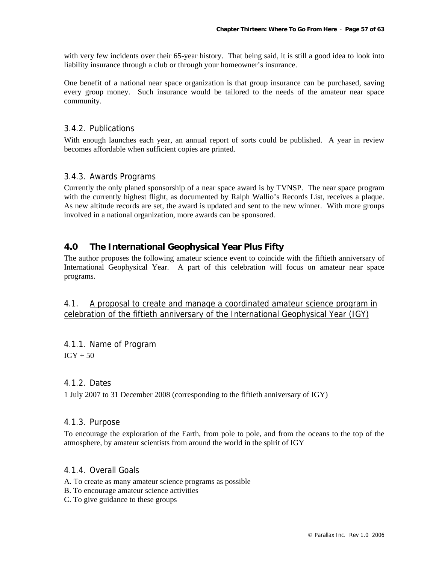with very few incidents over their 65-year history. That being said, it is still a good idea to look into liability insurance through a club or through your homeowner's insurance.

One benefit of a national near space organization is that group insurance can be purchased, saving every group money. Such insurance would be tailored to the needs of the amateur near space community.

### 3.4.2. Publications

With enough launches each year, an annual report of sorts could be published. A year in review becomes affordable when sufficient copies are printed.

### 3.4.3. Awards Programs

Currently the only planed sponsorship of a near space award is by TVNSP. The near space program with the currently highest flight, as documented by Ralph Wallio's Records List, receives a plaque. As new altitude records are set, the award is updated and sent to the new winner. With more groups involved in a national organization, more awards can be sponsored.

### **4.0 The International Geophysical Year Plus Fifty**

The author proposes the following amateur science event to coincide with the fiftieth anniversary of International Geophysical Year. A part of this celebration will focus on amateur near space programs.

4.1. A proposal to create and manage a coordinated amateur science program in celebration of the fiftieth anniversary of the International Geophysical Year (IGY)

4.1.1. Name of Program  $IGY + 50$ 

### 4.1.2. Dates

1 July 2007 to 31 December 2008 (corresponding to the fiftieth anniversary of IGY)

### 4.1.3. Purpose

To encourage the exploration of the Earth, from pole to pole, and from the oceans to the top of the atmosphere, by amateur scientists from around the world in the spirit of IGY

#### 4.1.4. Overall Goals

- A. To create as many amateur science programs as possible
- B. To encourage amateur science activities
- C. To give guidance to these groups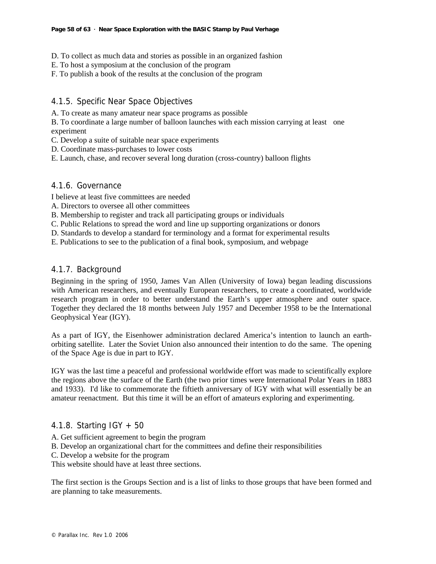- D. To collect as much data and stories as possible in an organized fashion
- E. To host a symposium at the conclusion of the program
- F. To publish a book of the results at the conclusion of the program

### 4.1.5. Specific Near Space Objectives

A. To create as many amateur near space programs as possible

B. To coordinate a large number of balloon launches with each mission carrying at least one experiment

- C. Develop a suite of suitable near space experiments
- D. Coordinate mass-purchases to lower costs

E. Launch, chase, and recover several long duration (cross-country) balloon flights

### 4.1.6. Governance

I believe at least five committees are needed

- A. Directors to oversee all other committees
- B. Membership to register and track all participating groups or individuals
- C. Public Relations to spread the word and line up supporting organizations or donors
- D. Standards to develop a standard for terminology and a format for experimental results
- E. Publications to see to the publication of a final book, symposium, and webpage

### 4.1.7. Background

Beginning in the spring of 1950, James Van Allen (University of Iowa) began leading discussions with American researchers, and eventually European researchers, to create a coordinated, worldwide research program in order to better understand the Earth's upper atmosphere and outer space. Together they declared the 18 months between July 1957 and December 1958 to be the International Geophysical Year (IGY).

As a part of IGY, the Eisenhower administration declared America's intention to launch an earthorbiting satellite. Later the Soviet Union also announced their intention to do the same. The opening of the Space Age is due in part to IGY.

IGY was the last time a peaceful and professional worldwide effort was made to scientifically explore the regions above the surface of the Earth (the two prior times were International Polar Years in 1883 and 1933). I'd like to commemorate the fiftieth anniversary of IGY with what will essentially be an amateur reenactment. But this time it will be an effort of amateurs exploring and experimenting.

### 4.1.8. Starting IGY + 50

- A. Get sufficient agreement to begin the program
- B. Develop an organizational chart for the committees and define their responsibilities
- C. Develop a website for the program

This website should have at least three sections.

The first section is the Groups Section and is a list of links to those groups that have been formed and are planning to take measurements.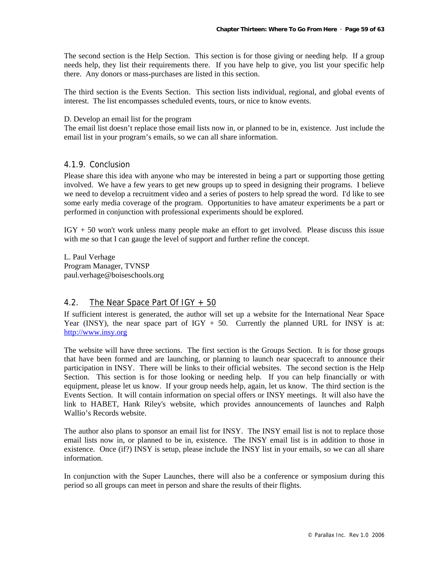The second section is the Help Section. This section is for those giving or needing help. If a group needs help, they list their requirements there. If you have help to give, you list your specific help there. Any donors or mass-purchases are listed in this section.

The third section is the Events Section. This section lists individual, regional, and global events of interest. The list encompasses scheduled events, tours, or nice to know events.

#### D. Develop an email list for the program

The email list doesn't replace those email lists now in, or planned to be in, existence. Just include the email list in your program's emails, so we can all share information.

### 4.1.9. Conclusion

Please share this idea with anyone who may be interested in being a part or supporting those getting involved. We have a few years to get new groups up to speed in designing their programs. I believe we need to develop a recruitment video and a series of posters to help spread the word. I'd like to see some early media coverage of the program. Opportunities to have amateur experiments be a part or performed in conjunction with professional experiments should be explored.

IGY + 50 won't work unless many people make an effort to get involved. Please discuss this issue with me so that I can gauge the level of support and further refine the concept.

L. Paul Verhage Program Manager, TVNSP paul.verhage@boiseschools.org

### 4.2. The Near Space Part Of IGY + 50

If sufficient interest is generated, the author will set up a website for the International Near Space Year (INSY), the near space part of  $IGY + 50$ . Currently the planned URL for INSY is at: http://www.insy.org

The website will have three sections. The first section is the Groups Section. It is for those groups that have been formed and are launching, or planning to launch near spacecraft to announce their participation in INSY. There will be links to their official websites. The second section is the Help Section. This section is for those looking or needing help. If you can help financially or with equipment, please let us know. If your group needs help, again, let us know. The third section is the Events Section. It will contain information on special offers or INSY meetings. It will also have the link to HABET, Hank Riley's website, which provides announcements of launches and Ralph Wallio's Records website.

The author also plans to sponsor an email list for INSY. The INSY email list is not to replace those email lists now in, or planned to be in, existence. The INSY email list is in addition to those in existence. Once (if?) INSY is setup, please include the INSY list in your emails, so we can all share information.

In conjunction with the Super Launches, there will also be a conference or symposium during this period so all groups can meet in person and share the results of their flights.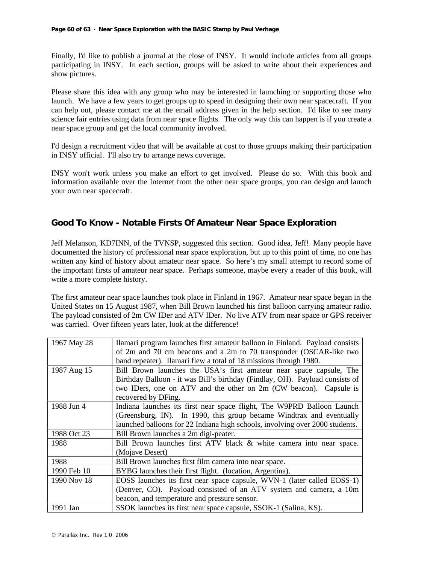Finally, I'd like to publish a journal at the close of INSY. It would include articles from all groups participating in INSY. In each section, groups will be asked to write about their experiences and show pictures.

Please share this idea with any group who may be interested in launching or supporting those who launch. We have a few years to get groups up to speed in designing their own near spacecraft. If you can help out, please contact me at the email address given in the help section. I'd like to see many science fair entries using data from near space flights. The only way this can happen is if you create a near space group and get the local community involved.

I'd design a recruitment video that will be available at cost to those groups making their participation in INSY official. I'll also try to arrange news coverage.

INSY won't work unless you make an effort to get involved. Please do so. With this book and information available over the Internet from the other near space groups, you can design and launch your own near spacecraft.

### **Good To Know - Notable Firsts Of Amateur Near Space Exploration**

Jeff Melanson, KD7INN, of the TVNSP, suggested this section. Good idea, Jeff! Many people have documented the history of professional near space exploration, but up to this point of time, no one has written any kind of history about amateur near space. So here's my small attempt to record some of the important firsts of amateur near space. Perhaps someone, maybe every a reader of this book, will write a more complete history.

The first amateur near space launches took place in Finland in 1967. Amateur near space began in the United States on 15 August 1987, when Bill Brown launched his first balloon carrying amateur radio. The payload consisted of 2m CW IDer and ATV IDer. No live ATV from near space or GPS receiver was carried. Over fifteen years later, look at the difference!

| 1967 May 28 | Ilamari program launches first amateur balloon in Finland. Payload consists  |
|-------------|------------------------------------------------------------------------------|
|             | of 2m and 70 cm beacons and a 2m to 70 transponder (OSCAR-like two           |
|             | band repeater). Ilamari flew a total of 18 missions through 1980.            |
| 1987 Aug 15 | Bill Brown launches the USA's first amateur near space capsule, The          |
|             | Birthday Balloon - it was Bill's birthday (Findlay, OH). Payload consists of |
|             | two IDers, one on ATV and the other on 2m (CW beacon). Capsule is            |
|             | recovered by DFing.                                                          |
| 1988 Jun 4  | Indiana launches its first near space flight, The W9PRD Balloon Launch       |
|             | (Greensburg, IN). In 1990, this group became Windtrax and eventually         |
|             | launched balloons for 22 Indiana high schools, involving over 2000 students. |
| 1988 Oct 23 | Bill Brown launches a 2m digi-peater.                                        |
| 1988        | Bill Brown launches first ATV black & white camera into near space.          |
|             | (Mojave Desert)                                                              |
| 1988        | Bill Brown launches first film camera into near space.                       |
| 1990 Feb 10 | BYBG launches their first flight. (location, Argentina).                     |
| 1990 Nov 18 | EOSS launches its first near space capsule, WVN-1 (later called EOSS-1)      |
|             | (Denver, CO). Payload consisted of an ATV system and camera, a 10m           |
|             | beacon, and temperature and pressure sensor.                                 |
| 1991 Jan    | SSOK launches its first near space capsule, SSOK-1 (Salina, KS).             |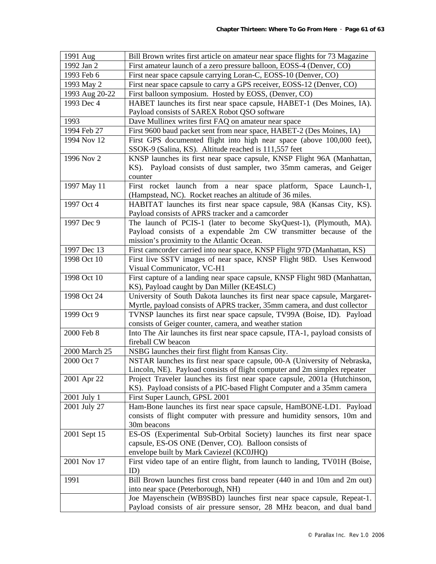| 1991 Aug       | Bill Brown writes first article on amateur near space flights for 73 Magazine                                                   |
|----------------|---------------------------------------------------------------------------------------------------------------------------------|
| 1992 Jan 2     | First amateur launch of a zero pressure balloon, EOSS-4 (Denver, CO)                                                            |
| 1993 Feb 6     | First near space capsule carrying Loran-C, EOSS-10 (Denver, CO)                                                                 |
| 1993 May 2     | First near space capsule to carry a GPS receiver, EOSS-12 (Denver, CO)                                                          |
| 1993 Aug 20-22 | First balloon symposium. Hosted by EOSS, (Denver, CO)                                                                           |
| 1993 Dec 4     | HABET launches its first near space capsule, HABET-1 (Des Moines, IA).                                                          |
|                | Payload consists of SAREX Robot QSO software                                                                                    |
| 1993           | Dave Mullinex writes first FAQ on amateur near space                                                                            |
| 1994 Feb 27    | First 9600 baud packet sent from near space, HABET-2 (Des Moines, IA)                                                           |
| 1994 Nov 12    | First GPS documented flight into high near space (above 100,000 feet),<br>SSOK-9 (Salina, KS). Altitude reached is 111,557 feet |
| 1996 Nov 2     | KNSP launches its first near space capsule, KNSP Flight 96A (Manhattan,                                                         |
|                | KS). Payload consists of dust sampler, two 35mm cameras, and Geiger                                                             |
|                | counter                                                                                                                         |
| 1997 May 11    | First rocket launch from a near space platform, Space Launch-1,                                                                 |
|                | (Hampstead, NC). Rocket reaches an altitude of 36 miles.                                                                        |
| 1997 Oct 4     | HABITAT launches its first near space capsule, 98A (Kansas City, KS).                                                           |
|                | Payload consists of APRS tracker and a camcorder                                                                                |
| 1997 Dec 9     | The launch of PCIS-1 (later to become SkyQuest-1), (Plymouth, MA).                                                              |
|                | Payload consists of a expendable 2m CW transmitter because of the                                                               |
|                | mission's proximity to the Atlantic Ocean.                                                                                      |
| 1997 Dec 13    | First camcorder carried into near space, KNSP Flight 97D (Manhattan, KS)                                                        |
| 1998 Oct 10    | First live SSTV images of near space, KNSP Flight 98D. Uses Kenwood                                                             |
|                | Visual Communicator, VC-H1                                                                                                      |
| 1998 Oct 10    | First capture of a landing near space capsule, KNSP Flight 98D (Manhattan,                                                      |
|                | KS), Payload caught by Dan Miller (KE4SLC)                                                                                      |
| 1998 Oct 24    | University of South Dakota launches its first near space capsule, Margaret-                                                     |
|                | Myrtle, payload consists of APRS tracker, 35mm camera, and dust collector                                                       |
| 1999 Oct 9     | TVNSP launches its first near space capsule, TV99A (Boise, ID). Payload                                                         |
|                | consists of Geiger counter, camera, and weather station                                                                         |
| 2000 Feb 8     | Into The Air launches its first near space capsule, ITA-1, payload consists of<br>fireball CW beacon                            |
| 2000 March 25  | NSBG launches their first flight from Kansas City.                                                                              |
| 2000 Oct 7     | NSTAR launches its first near space capsule, 00-A (University of Nebraska,                                                      |
|                | Lincoln, NE). Payload consists of flight computer and 2m simplex repeater                                                       |
| 2001 Apr 22    | Project Traveler launches its first near space capsule, 2001a (Hutchinson,                                                      |
|                | KS). Payload consists of a PIC-based Flight Computer and a 35mm camera                                                          |
| 2001 July 1    | First Super Launch, GPSL 2001                                                                                                   |
| 2001 July 27   | Ham-Bone launches its first near space capsule, HamBONE-LD1. Payload                                                            |
|                | consists of flight computer with pressure and humidity sensors, 10m and                                                         |
|                | 30m beacons                                                                                                                     |
| 2001 Sept 15   | ES-OS (Experimental Sub-Orbital Society) launches its first near space                                                          |
|                | capsule, ES-OS ONE (Denver, CO). Balloon consists of                                                                            |
|                | envelope built by Mark Caviezel (KC0JHQ)                                                                                        |
| 2001 Nov 17    | First video tape of an entire flight, from launch to landing, TV01H (Boise,<br>ID)                                              |
| 1991           | Bill Brown launches first cross band repeater (440 in and 10m and 2m out)                                                       |
|                | into near space (Peterborough, NH)                                                                                              |
|                | Joe Mayenschein (WB9SBD) launches first near space capsule, Repeat-1.                                                           |
|                | Payload consists of air pressure sensor, 28 MHz beacon, and dual band                                                           |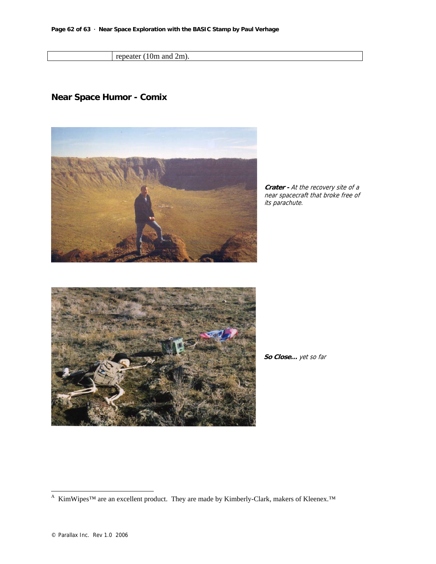repeater (10m and 2m).

### **Near Space Humor - Comix**



**Crater -** At the recovery site of a near spacecraft that broke free of its parachute.



**So Close…** yet so far

l

<sup>&</sup>lt;sup>A</sup> KimWipes<sup>™</sup> are an excellent product. They are made by Kimberly-Clark, makers of Kleenex.<sup>™</sup>